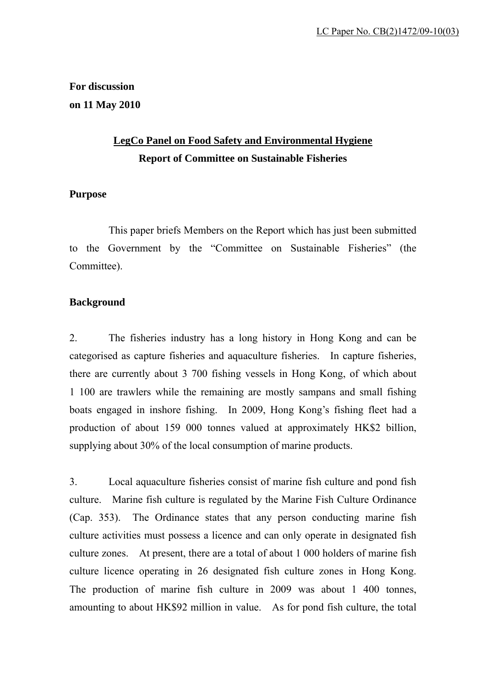**For discussion on 11 May 2010** 

# **LegCo Panel on Food Safety and Environmental Hygiene Report of Committee on Sustainable Fisheries**

# **Purpose**

 This paper briefs Members on the Report which has just been submitted to the Government by the "Committee on Sustainable Fisheries" (the Committee).

# **Background**

2. The fisheries industry has a long history in Hong Kong and can be categorised as capture fisheries and aquaculture fisheries. In capture fisheries, there are currently about 3 700 fishing vessels in Hong Kong, of which about 1 100 are trawlers while the remaining are mostly sampans and small fishing boats engaged in inshore fishing. In 2009, Hong Kong's fishing fleet had a production of about 159 000 tonnes valued at approximately HK\$2 billion, supplying about 30% of the local consumption of marine products.

3. Local aquaculture fisheries consist of marine fish culture and pond fish culture. Marine fish culture is regulated by the Marine Fish Culture Ordinance (Cap. 353). The Ordinance states that any person conducting marine fish culture activities must possess a licence and can only operate in designated fish culture zones. At present, there are a total of about 1 000 holders of marine fish culture licence operating in 26 designated fish culture zones in Hong Kong. The production of marine fish culture in 2009 was about 1 400 tonnes, amounting to about HK\$92 million in value. As for pond fish culture, the total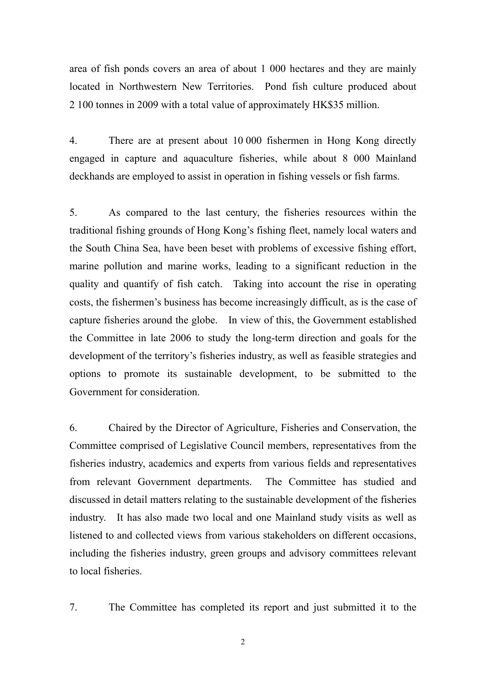area of fish ponds covers an area of about 1 000 hectares and they are mainly located in Northwestern New Territories. Pond fish culture produced about 2 100 tonnes in 2009 with a total value of approximately HK\$35 million.

4. There are at present about 10 000 fishermen in Hong Kong directly engaged in capture and aquaculture fisheries, while about 8 000 Mainland deckhands are employed to assist in operation in fishing vessels or fish farms.

5. As compared to the last century, the fisheries resources within the traditional fishing grounds of Hong Kong's fishing fleet, namely local waters and the South China Sea, have been beset with problems of excessive fishing effort, marine pollution and marine works, leading to a significant reduction in the quality and quantify of fish catch. Taking into account the rise in operating costs, the fishermen's business has become increasingly difficult, as is the case of capture fisheries around the globe. In view of this, the Government established the Committee in late 2006 to study the long-term direction and goals for the development of the territory's fisheries industry, as well as feasible strategies and options to promote its sustainable development, to be submitted to the Government for consideration.

6. Chaired by the Director of Agriculture, Fisheries and Conservation, the Committee comprised of Legislative Council members, representatives from the fisheries industry, academics and experts from various fields and representatives from relevant Government departments. The Committee has studied and discussed in detail matters relating to the sustainable development of the fisheries industry. It has also made two local and one Mainland study visits as well as listened to and collected views from various stakeholders on different occasions, including the fisheries industry, green groups and advisory committees relevant to local fisheries.

7. The Committee has completed its report and just submitted it to the

2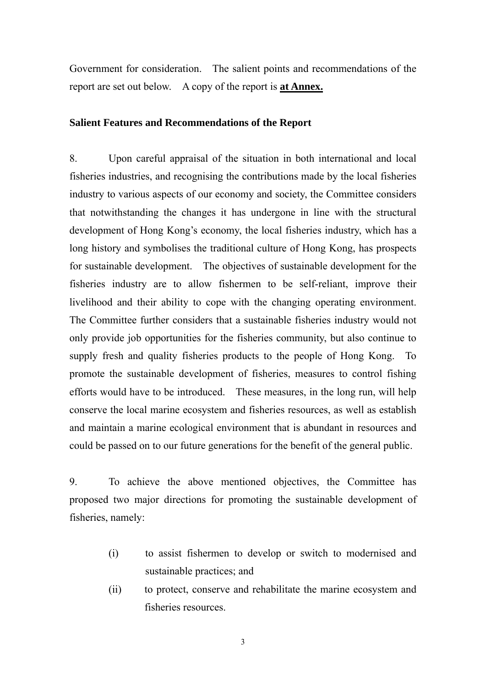Government for consideration. The salient points and recommendations of the report are set out below. A copy of the report is **at Annex.**

# **Salient Features and Recommendations of the Report**

8. Upon careful appraisal of the situation in both international and local fisheries industries, and recognising the contributions made by the local fisheries industry to various aspects of our economy and society, the Committee considers that notwithstanding the changes it has undergone in line with the structural development of Hong Kong's economy, the local fisheries industry, which has a long history and symbolises the traditional culture of Hong Kong, has prospects for sustainable development. The objectives of sustainable development for the fisheries industry are to allow fishermen to be self-reliant, improve their livelihood and their ability to cope with the changing operating environment. The Committee further considers that a sustainable fisheries industry would not only provide job opportunities for the fisheries community, but also continue to supply fresh and quality fisheries products to the people of Hong Kong. To promote the sustainable development of fisheries, measures to control fishing efforts would have to be introduced. These measures, in the long run, will help conserve the local marine ecosystem and fisheries resources, as well as establish and maintain a marine ecological environment that is abundant in resources and could be passed on to our future generations for the benefit of the general public.

9. To achieve the above mentioned objectives, the Committee has proposed two major directions for promoting the sustainable development of fisheries, namely:

- (i) to assist fishermen to develop or switch to modernised and sustainable practices; and
- (ii) to protect, conserve and rehabilitate the marine ecosystem and fisheries resources.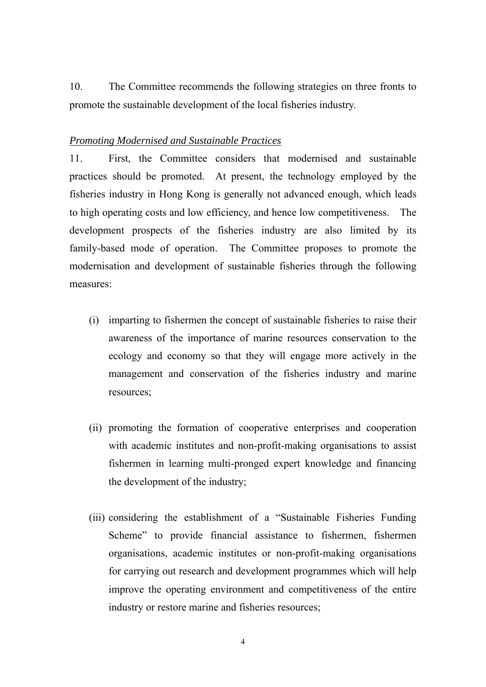10. The Committee recommends the following strategies on three fronts to promote the sustainable development of the local fisheries industry.

# *Promoting Modernised and Sustainable Practices*

11. First, the Committee considers that modernised and sustainable practices should be promoted. At present, the technology employed by the fisheries industry in Hong Kong is generally not advanced enough, which leads to high operating costs and low efficiency, and hence low competitiveness. The development prospects of the fisheries industry are also limited by its family-based mode of operation. The Committee proposes to promote the modernisation and development of sustainable fisheries through the following measures:

- (i) imparting to fishermen the concept of sustainable fisheries to raise their awareness of the importance of marine resources conservation to the ecology and economy so that they will engage more actively in the management and conservation of the fisheries industry and marine resources;
- (ii) promoting the formation of cooperative enterprises and cooperation with academic institutes and non-profit-making organisations to assist fishermen in learning multi-pronged expert knowledge and financing the development of the industry;
- (iii) considering the establishment of a "Sustainable Fisheries Funding Scheme" to provide financial assistance to fishermen, fishermen organisations, academic institutes or non-profit-making organisations for carrying out research and development programmes which will help improve the operating environment and competitiveness of the entire industry or restore marine and fisheries resources;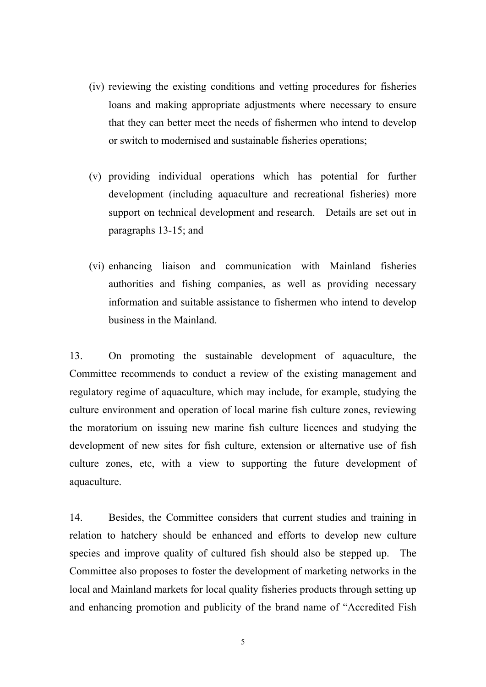- (iv) reviewing the existing conditions and vetting procedures for fisheries loans and making appropriate adjustments where necessary to ensure that they can better meet the needs of fishermen who intend to develop or switch to modernised and sustainable fisheries operations;
- (v) providing individual operations which has potential for further development (including aquaculture and recreational fisheries) more support on technical development and research. Details are set out in paragraphs 13-15; and
- (vi) enhancing liaison and communication with Mainland fisheries authorities and fishing companies, as well as providing necessary information and suitable assistance to fishermen who intend to develop business in the Mainland.

13. On promoting the sustainable development of aquaculture, the Committee recommends to conduct a review of the existing management and regulatory regime of aquaculture, which may include, for example, studying the culture environment and operation of local marine fish culture zones, reviewing the moratorium on issuing new marine fish culture licences and studying the development of new sites for fish culture, extension or alternative use of fish culture zones, etc, with a view to supporting the future development of aquaculture.

14. Besides, the Committee considers that current studies and training in relation to hatchery should be enhanced and efforts to develop new culture species and improve quality of cultured fish should also be stepped up. The Committee also proposes to foster the development of marketing networks in the local and Mainland markets for local quality fisheries products through setting up and enhancing promotion and publicity of the brand name of "Accredited Fish

5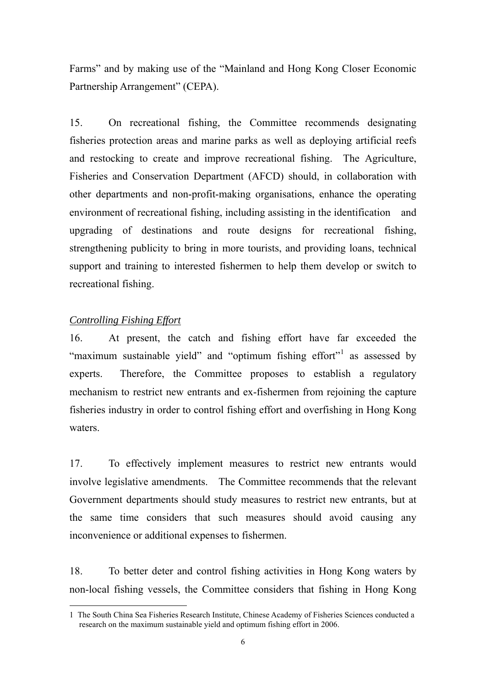Farms" and by making use of the "Mainland and Hong Kong Closer Economic Partnership Arrangement" (CEPA).

15. On recreational fishing, the Committee recommends designating fisheries protection areas and marine parks as well as deploying artificial reefs and restocking to create and improve recreational fishing. The Agriculture, Fisheries and Conservation Department (AFCD) should, in collaboration with other departments and non-profit-making organisations, enhance the operating environment of recreational fishing, including assisting in the identification and upgrading of destinations and route designs for recreational fishing, strengthening publicity to bring in more tourists, and providing loans, technical support and training to interested fishermen to help them develop or switch to recreational fishing.

# *Controlling Fishing Effort*

<u>.</u>

16. At present, the catch and fishing effort have far exceeded the "maximum sustainable yield" and "optimum fishing effort" as assessed by experts. Therefore, the Committee proposes to establish a regulatory mechanism to restrict new entrants and ex-fishermen from rejoining the capture fisheries industry in order to control fishing effort and overfishing in Hong Kong waters.

17. To effectively implement measures to restrict new entrants would involve legislative amendments. The Committee recommends that the relevant Government departments should study measures to restrict new entrants, but at the same time considers that such measures should avoid causing any inconvenience or additional expenses to fishermen.

18. To better deter and control fishing activities in Hong Kong waters by non-local fishing vessels, the Committee considers that fishing in Hong Kong

<sup>1</sup> The South China Sea Fisheries Research Institute, Chinese Academy of Fisheries Sciences conducted a research on the maximum sustainable yield and optimum fishing effort in 2006.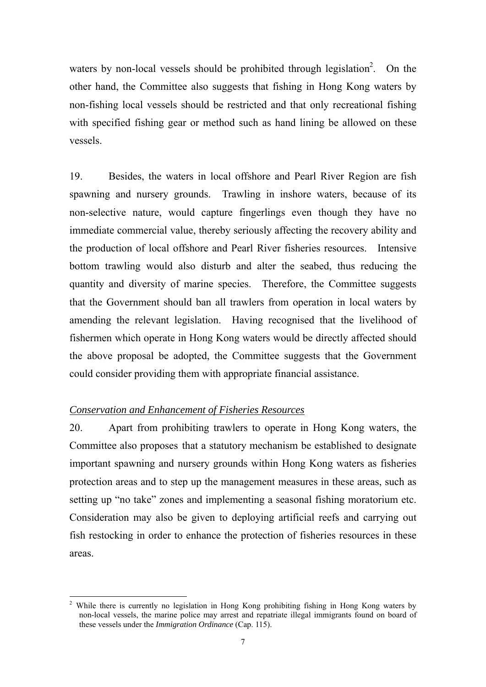waters by non-local vessels should be prohibited through legislation<sup>2</sup>. On the other hand, the Committee also suggests that fishing in Hong Kong waters by non-fishing local vessels should be restricted and that only recreational fishing with specified fishing gear or method such as hand lining be allowed on these vessels.

19. Besides, the waters in local offshore and Pearl River Region are fish spawning and nursery grounds. Trawling in inshore waters, because of its non-selective nature, would capture fingerlings even though they have no immediate commercial value, thereby seriously affecting the recovery ability and the production of local offshore and Pearl River fisheries resources. Intensive bottom trawling would also disturb and alter the seabed, thus reducing the quantity and diversity of marine species. Therefore, the Committee suggests that the Government should ban all trawlers from operation in local waters by amending the relevant legislation. Having recognised that the livelihood of fishermen which operate in Hong Kong waters would be directly affected should the above proposal be adopted, the Committee suggests that the Government could consider providing them with appropriate financial assistance.

# *Conservation and Enhancement of Fisheries Resources*

1

20. Apart from prohibiting trawlers to operate in Hong Kong waters, the Committee also proposes that a statutory mechanism be established to designate important spawning and nursery grounds within Hong Kong waters as fisheries protection areas and to step up the management measures in these areas, such as setting up "no take" zones and implementing a seasonal fishing moratorium etc. Consideration may also be given to deploying artificial reefs and carrying out fish restocking in order to enhance the protection of fisheries resources in these areas.

<sup>2</sup> While there is currently no legislation in Hong Kong prohibiting fishing in Hong Kong waters by non-local vessels, the marine police may arrest and repatriate illegal immigrants found on board of these vessels under the *Immigration Ordinance* (Cap. 115).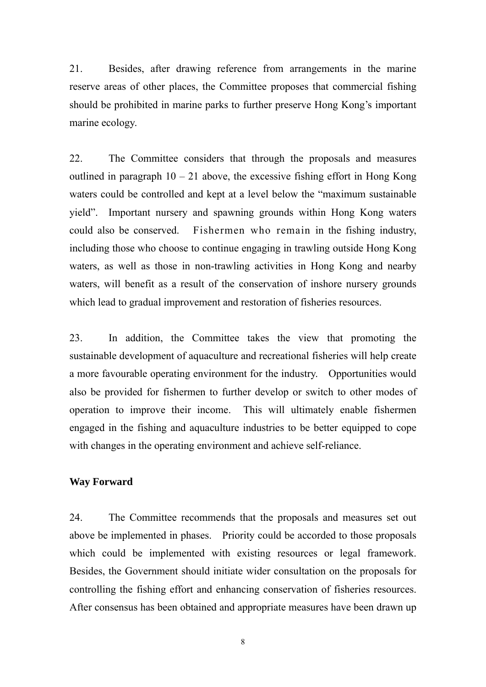21. Besides, after drawing reference from arrangements in the marine reserve areas of other places, the Committee proposes that commercial fishing should be prohibited in marine parks to further preserve Hong Kong's important marine ecology.

22. The Committee considers that through the proposals and measures outlined in paragraph  $10 - 21$  above, the excessive fishing effort in Hong Kong waters could be controlled and kept at a level below the "maximum sustainable yield". Important nursery and spawning grounds within Hong Kong waters could also be conserved. Fishermen who remain in the fishing industry, including those who choose to continue engaging in trawling outside Hong Kong waters, as well as those in non-trawling activities in Hong Kong and nearby waters, will benefit as a result of the conservation of inshore nursery grounds which lead to gradual improvement and restoration of fisheries resources.

23. In addition, the Committee takes the view that promoting the sustainable development of aquaculture and recreational fisheries will help create a more favourable operating environment for the industry. Opportunities would also be provided for fishermen to further develop or switch to other modes of operation to improve their income. This will ultimately enable fishermen engaged in the fishing and aquaculture industries to be better equipped to cope with changes in the operating environment and achieve self-reliance.

### **Way Forward**

24. The Committee recommends that the proposals and measures set out above be implemented in phases. Priority could be accorded to those proposals which could be implemented with existing resources or legal framework. Besides, the Government should initiate wider consultation on the proposals for controlling the fishing effort and enhancing conservation of fisheries resources. After consensus has been obtained and appropriate measures have been drawn up

8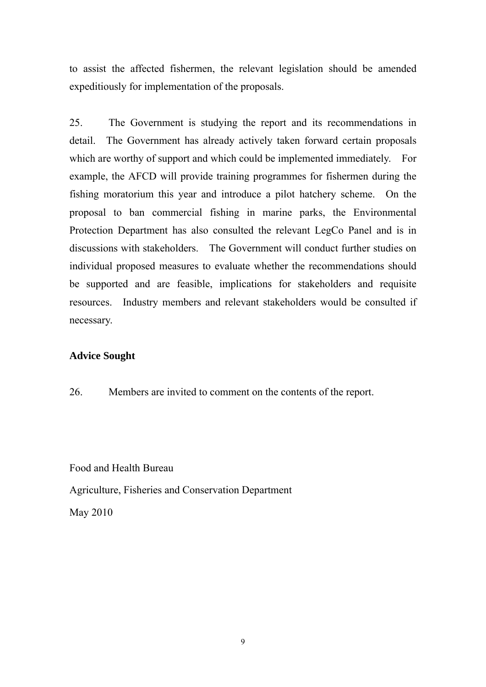to assist the affected fishermen, the relevant legislation should be amended expeditiously for implementation of the proposals.

25. The Government is studying the report and its recommendations in detail. The Government has already actively taken forward certain proposals which are worthy of support and which could be implemented immediately. For example, the AFCD will provide training programmes for fishermen during the fishing moratorium this year and introduce a pilot hatchery scheme. On the proposal to ban commercial fishing in marine parks, the Environmental Protection Department has also consulted the relevant LegCo Panel and is in discussions with stakeholders. The Government will conduct further studies on individual proposed measures to evaluate whether the recommendations should be supported and are feasible, implications for stakeholders and requisite resources. Industry members and relevant stakeholders would be consulted if necessary.

# **Advice Sought**

26. Members are invited to comment on the contents of the report.

Food and Health Bureau

Agriculture, Fisheries and Conservation Department

May 2010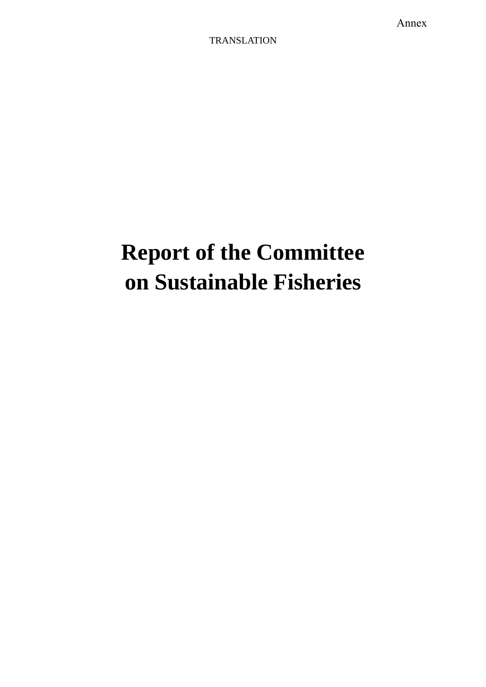# **Report of the Committee on Sustainable Fisheries**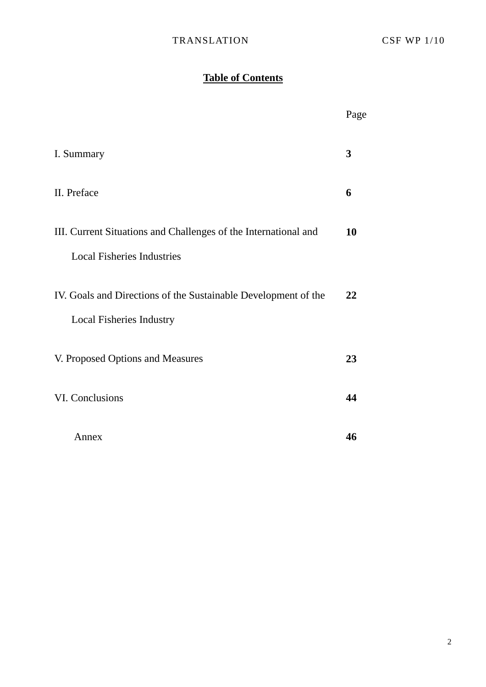# **Table of Contents**

|                                                                                                      | Page |
|------------------------------------------------------------------------------------------------------|------|
| I. Summary                                                                                           | 3    |
| II. Preface                                                                                          | 6    |
| III. Current Situations and Challenges of the International and<br><b>Local Fisheries Industries</b> | 10   |
| IV. Goals and Directions of the Sustainable Development of the<br><b>Local Fisheries Industry</b>    | 22   |
| V. Proposed Options and Measures                                                                     | 23   |
| VI. Conclusions                                                                                      | 44   |
| Annex                                                                                                | 46   |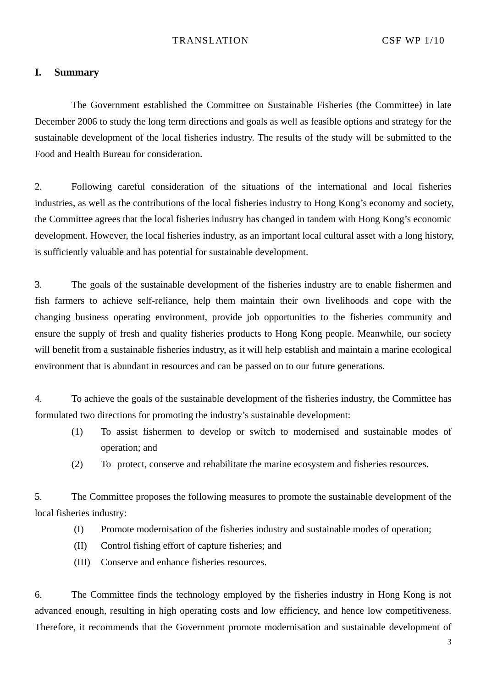# **I. Summary**

The Government established the Committee on Sustainable Fisheries (the Committee) in late December 2006 to study the long term directions and goals as well as feasible options and strategy for the sustainable development of the local fisheries industry. The results of the study will be submitted to the Food and Health Bureau for consideration.

2. Following careful consideration of the situations of the international and local fisheries industries, as well as the contributions of the local fisheries industry to Hong Kong's economy and society, the Committee agrees that the local fisheries industry has changed in tandem with Hong Kong's economic development. However, the local fisheries industry, as an important local cultural asset with a long history, is sufficiently valuable and has potential for sustainable development.

3. The goals of the sustainable development of the fisheries industry are to enable fishermen and fish farmers to achieve self-reliance, help them maintain their own livelihoods and cope with the changing business operating environment, provide job opportunities to the fisheries community and ensure the supply of fresh and quality fisheries products to Hong Kong people. Meanwhile, our society will benefit from a sustainable fisheries industry, as it will help establish and maintain a marine ecological environment that is abundant in resources and can be passed on to our future generations.

4. To achieve the goals of the sustainable development of the fisheries industry, the Committee has formulated two directions for promoting the industry's sustainable development:

- (1) To assist fishermen to develop or switch to modernised and sustainable modes of operation; and
- (2) To protect, conserve and rehabilitate the marine ecosystem and fisheries resources.

5. The Committee proposes the following measures to promote the sustainable development of the local fisheries industry:

- (I) Promote modernisation of the fisheries industry and sustainable modes of operation;
- (II) Control fishing effort of capture fisheries; and
- (III) Conserve and enhance fisheries resources.

6. The Committee finds the technology employed by the fisheries industry in Hong Kong is not advanced enough, resulting in high operating costs and low efficiency, and hence low competitiveness. Therefore, it recommends that the Government promote modernisation and sustainable development of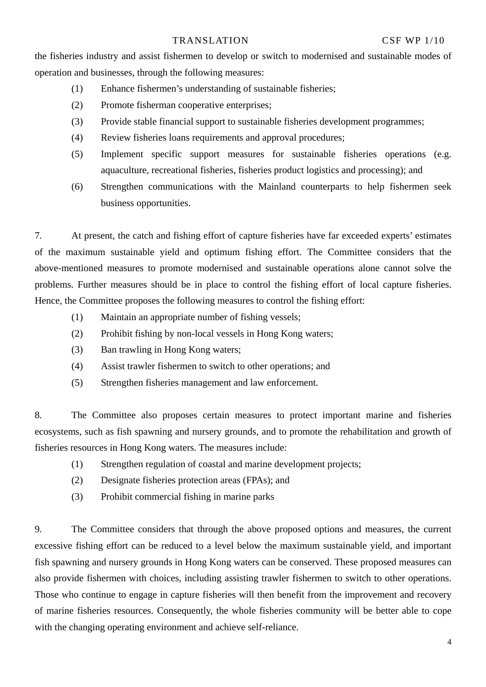the fisheries industry and assist fishermen to develop or switch to modernised and sustainable modes of operation and businesses, through the following measures:

- (1) Enhance fishermen's understanding of sustainable fisheries;
- (2) Promote fisherman cooperative enterprises;
- (3) Provide stable financial support to sustainable fisheries development programmes;
- (4) Review fisheries loans requirements and approval procedures;
- (5) Implement specific support measures for sustainable fisheries operations (e.g. aquaculture, recreational fisheries, fisheries product logistics and processing); and
- (6) Strengthen communications with the Mainland counterparts to help fishermen seek business opportunities.

7. At present, the catch and fishing effort of capture fisheries have far exceeded experts' estimates of the maximum sustainable yield and optimum fishing effort. The Committee considers that the above-mentioned measures to promote modernised and sustainable operations alone cannot solve the problems. Further measures should be in place to control the fishing effort of local capture fisheries. Hence, the Committee proposes the following measures to control the fishing effort:

- (1) Maintain an appropriate number of fishing vessels;
- (2) Prohibit fishing by non-local vessels in Hong Kong waters;
- (3) Ban trawling in Hong Kong waters;
- (4) Assist trawler fishermen to switch to other operations; and
- (5) Strengthen fisheries management and law enforcement.

8. The Committee also proposes certain measures to protect important marine and fisheries ecosystems, such as fish spawning and nursery grounds, and to promote the rehabilitation and growth of fisheries resources in Hong Kong waters. The measures include:

- (1) Strengthen regulation of coastal and marine development projects;
- (2) Designate fisheries protection areas (FPAs); and
- (3) Prohibit commercial fishing in marine parks

9. The Committee considers that through the above proposed options and measures, the current excessive fishing effort can be reduced to a level below the maximum sustainable yield, and important fish spawning and nursery grounds in Hong Kong waters can be conserved. These proposed measures can also provide fishermen with choices, including assisting trawler fishermen to switch to other operations. Those who continue to engage in capture fisheries will then benefit from the improvement and recovery of marine fisheries resources. Consequently, the whole fisheries community will be better able to cope with the changing operating environment and achieve self-reliance.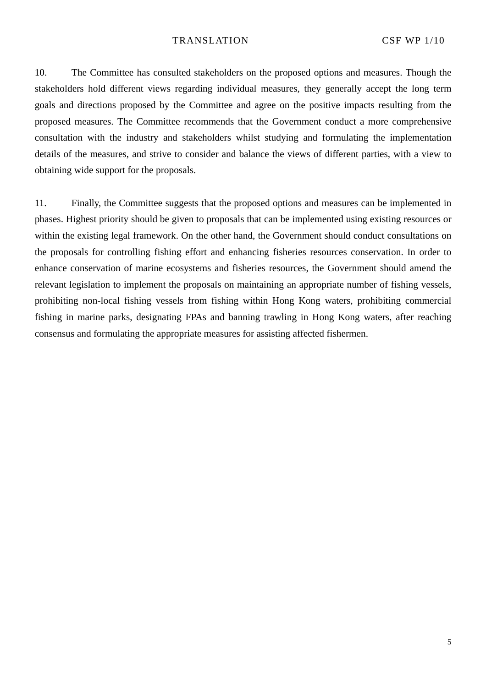10. The Committee has consulted stakeholders on the proposed options and measures. Though the stakeholders hold different views regarding individual measures, they generally accept the long term goals and directions proposed by the Committee and agree on the positive impacts resulting from the proposed measures. The Committee recommends that the Government conduct a more comprehensive consultation with the industry and stakeholders whilst studying and formulating the implementation details of the measures, and strive to consider and balance the views of different parties, with a view to obtaining wide support for the proposals.

11. Finally, the Committee suggests that the proposed options and measures can be implemented in phases. Highest priority should be given to proposals that can be implemented using existing resources or within the existing legal framework. On the other hand, the Government should conduct consultations on the proposals for controlling fishing effort and enhancing fisheries resources conservation. In order to enhance conservation of marine ecosystems and fisheries resources, the Government should amend the relevant legislation to implement the proposals on maintaining an appropriate number of fishing vessels, prohibiting non-local fishing vessels from fishing within Hong Kong waters, prohibiting commercial fishing in marine parks, designating FPAs and banning trawling in Hong Kong waters, after reaching consensus and formulating the appropriate measures for assisting affected fishermen.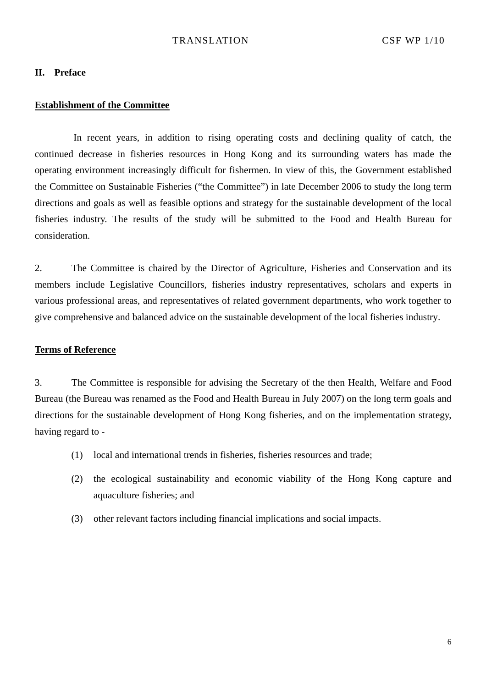#### **II. Preface**

#### **Establishment of the Committee**

 In recent years, in addition to rising operating costs and declining quality of catch, the continued decrease in fisheries resources in Hong Kong and its surrounding waters has made the operating environment increasingly difficult for fishermen. In view of this, the Government established the Committee on Sustainable Fisheries ("the Committee") in late December 2006 to study the long term directions and goals as well as feasible options and strategy for the sustainable development of the local fisheries industry. The results of the study will be submitted to the Food and Health Bureau for consideration.

2. The Committee is chaired by the Director of Agriculture, Fisheries and Conservation and its members include Legislative Councillors, fisheries industry representatives, scholars and experts in various professional areas, and representatives of related government departments, who work together to give comprehensive and balanced advice on the sustainable development of the local fisheries industry.

#### **Terms of Reference**

3. The Committee is responsible for advising the Secretary of the then Health, Welfare and Food Bureau (the Bureau was renamed as the Food and Health Bureau in July 2007) on the long term goals and directions for the sustainable development of Hong Kong fisheries, and on the implementation strategy, having regard to -

- (1) local and international trends in fisheries, fisheries resources and trade;
- (2) the ecological sustainability and economic viability of the Hong Kong capture and aquaculture fisheries; and
- (3) other relevant factors including financial implications and social impacts.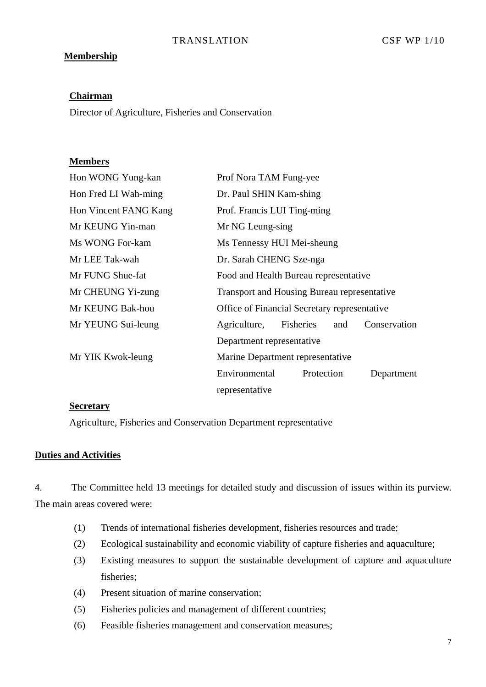# **Membership**

# **Chairman**

Director of Agriculture, Fisheries and Conservation

# **Members**

| Hon WONG Yung-kan     | Prof Nora TAM Fung-yee                             |  |  |
|-----------------------|----------------------------------------------------|--|--|
| Hon Fred LI Wah-ming  | Dr. Paul SHIN Kam-shing                            |  |  |
| Hon Vincent FANG Kang | Prof. Francis LUI Ting-ming                        |  |  |
| Mr KEUNG Yin-man      | Mr NG Leung-sing                                   |  |  |
| Ms WONG For-kam       | Ms Tennessy HUI Mei-sheung                         |  |  |
| Mr LEE Tak-wah        | Dr. Sarah CHENG Sze-nga                            |  |  |
| Mr FUNG Shue-fat      | Food and Health Bureau representative              |  |  |
| Mr CHEUNG Yi-zung     | <b>Transport and Housing Bureau representative</b> |  |  |
| Mr KEUNG Bak-hou      | Office of Financial Secretary representative       |  |  |
| Mr YEUNG Sui-leung    | Conservation<br>Agriculture,<br>Fisheries<br>and   |  |  |
|                       | Department representative                          |  |  |
| Mr YIK Kwok-leung     | Marine Department representative                   |  |  |
|                       | Environmental<br>Protection<br>Department          |  |  |
|                       | representative                                     |  |  |

# **Secretary**

Agriculture, Fisheries and Conservation Department representative

## **Duties and Activities**

4. The Committee held 13 meetings for detailed study and discussion of issues within its purview. The main areas covered were:

- (1) Trends of international fisheries development, fisheries resources and trade;
- (2) Ecological sustainability and economic viability of capture fisheries and aquaculture;
- (3) Existing measures to support the sustainable development of capture and aquaculture fisheries;
- (4) Present situation of marine conservation;
- (5) Fisheries policies and management of different countries;
- (6) Feasible fisheries management and conservation measures;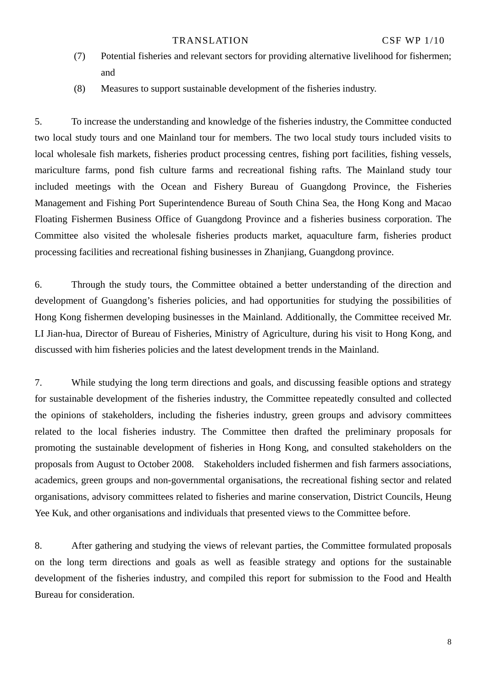- (7) Potential fisheries and relevant sectors for providing alternative livelihood for fishermen; and
- (8) Measures to support sustainable development of the fisheries industry.

5. To increase the understanding and knowledge of the fisheries industry, the Committee conducted two local study tours and one Mainland tour for members. The two local study tours included visits to local wholesale fish markets, fisheries product processing centres, fishing port facilities, fishing vessels, mariculture farms, pond fish culture farms and recreational fishing rafts. The Mainland study tour included meetings with the Ocean and Fishery Bureau of Guangdong Province, the Fisheries Management and Fishing Port Superintendence Bureau of South China Sea, the Hong Kong and Macao Floating Fishermen Business Office of Guangdong Province and a fisheries business corporation. The Committee also visited the wholesale fisheries products market, aquaculture farm, fisheries product processing facilities and recreational fishing businesses in Zhanjiang, Guangdong province.

6. Through the study tours, the Committee obtained a better understanding of the direction and development of Guangdong's fisheries policies, and had opportunities for studying the possibilities of Hong Kong fishermen developing businesses in the Mainland. Additionally, the Committee received Mr. LI Jian-hua, Director of Bureau of Fisheries, Ministry of Agriculture, during his visit to Hong Kong, and discussed with him fisheries policies and the latest development trends in the Mainland.

7. While studying the long term directions and goals, and discussing feasible options and strategy for sustainable development of the fisheries industry, the Committee repeatedly consulted and collected the opinions of stakeholders, including the fisheries industry, green groups and advisory committees related to the local fisheries industry. The Committee then drafted the preliminary proposals for promoting the sustainable development of fisheries in Hong Kong, and consulted stakeholders on the proposals from August to October 2008. Stakeholders included fishermen and fish farmers associations, academics, green groups and non-governmental organisations, the recreational fishing sector and related organisations, advisory committees related to fisheries and marine conservation, District Councils, Heung Yee Kuk, and other organisations and individuals that presented views to the Committee before.

8. After gathering and studying the views of relevant parties, the Committee formulated proposals on the long term directions and goals as well as feasible strategy and options for the sustainable development of the fisheries industry, and compiled this report for submission to the Food and Health Bureau for consideration.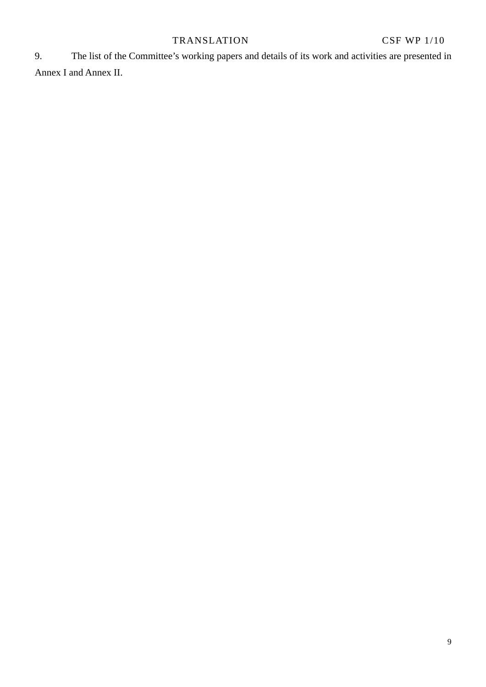9. The list of the Committee's working papers and details of its work and activities are presented in Annex I and Annex II.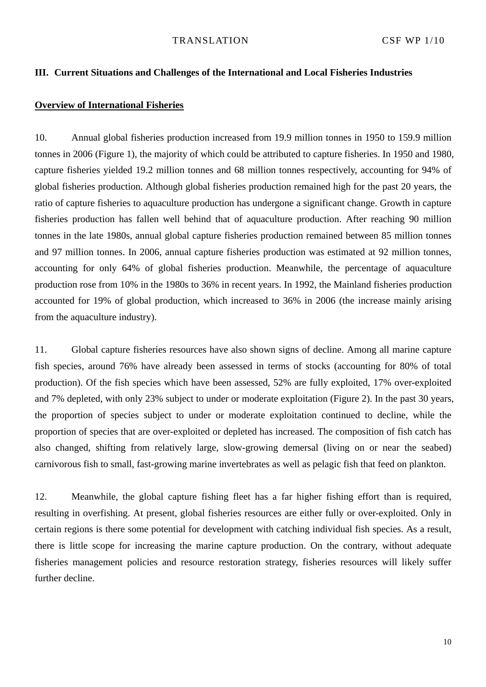#### **III. Current Situations and Challenges of the International and Local Fisheries Industries**

#### **Overview of International Fisheries**

10. Annual global fisheries production increased from 19.9 million tonnes in 1950 to 159.9 million tonnes in 2006 (Figure 1), the majority of which could be attributed to capture fisheries. In 1950 and 1980, capture fisheries yielded 19.2 million tonnes and 68 million tonnes respectively, accounting for 94% of global fisheries production. Although global fisheries production remained high for the past 20 years, the ratio of capture fisheries to aquaculture production has undergone a significant change. Growth in capture fisheries production has fallen well behind that of aquaculture production. After reaching 90 million tonnes in the late 1980s, annual global capture fisheries production remained between 85 million tonnes and 97 million tonnes. In 2006, annual capture fisheries production was estimated at 92 million tonnes, accounting for only 64% of global fisheries production. Meanwhile, the percentage of aquaculture production rose from 10% in the 1980s to 36% in recent years. In 1992, the Mainland fisheries production accounted for 19% of global production, which increased to 36% in 2006 (the increase mainly arising from the aquaculture industry).

11. Global capture fisheries resources have also shown signs of decline. Among all marine capture fish species, around 76% have already been assessed in terms of stocks (accounting for 80% of total production). Of the fish species which have been assessed, 52% are fully exploited, 17% over-exploited and 7% depleted, with only 23% subject to under or moderate exploitation (Figure 2). In the past 30 years, the proportion of species subject to under or moderate exploitation continued to decline, while the proportion of species that are over-exploited or depleted has increased. The composition of fish catch has also changed, shifting from relatively large, slow-growing demersal (living on or near the seabed) carnivorous fish to small, fast-growing marine invertebrates as well as pelagic fish that feed on plankton.

12. Meanwhile, the global capture fishing fleet has a far higher fishing effort than is required, resulting in overfishing. At present, global fisheries resources are either fully or over-exploited. Only in certain regions is there some potential for development with catching individual fish species. As a result, there is little scope for increasing the marine capture production. On the contrary, without adequate fisheries management policies and resource restoration strategy, fisheries resources will likely suffer further decline.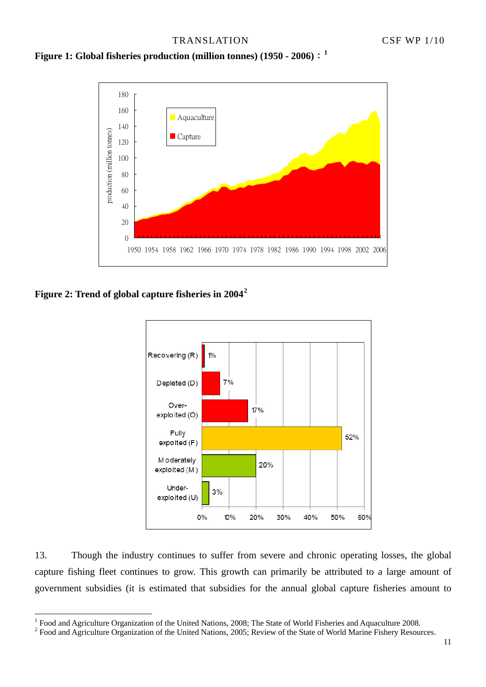<span id="page-19-0"></span>



**Figure 2: Trend of global capture fisheries in 2004[2](#page-19-0)**

 $\overline{a}$ 



13. Though the industry continues to suffer from severe and chronic operating losses, the global capture fishing fleet continues to grow. This growth can primarily be attributed to a large amount of government subsidies (it is estimated that subsidies for the annual global capture fisheries amount to

<sup>&</sup>lt;sup>1</sup> Food and Agriculture Organization of the United Nations, 2008; The State of World Fisheries and Aquaculture 2008.

 $2^2$  Food and Agriculture Organization of the United Nations, 2005; Review of the State of World Marine Fishery Resources.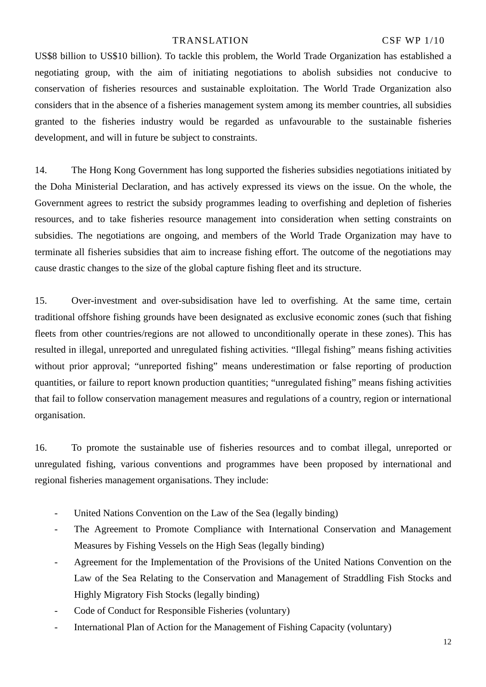US\$8 billion to US\$10 billion). To tackle this problem, the World Trade Organization has established a negotiating group, with the aim of initiating negotiations to abolish subsidies not conducive to conservation of fisheries resources and sustainable exploitation. The World Trade Organization also considers that in the absence of a fisheries management system among its member countries, all subsidies granted to the fisheries industry would be regarded as unfavourable to the sustainable fisheries development, and will in future be subject to constraints.

14. The Hong Kong Government has long supported the fisheries subsidies negotiations initiated by the Doha Ministerial Declaration, and has actively expressed its views on the issue. On the whole, the Government agrees to restrict the subsidy programmes leading to overfishing and depletion of fisheries resources, and to take fisheries resource management into consideration when setting constraints on subsidies. The negotiations are ongoing, and members of the World Trade Organization may have to terminate all fisheries subsidies that aim to increase fishing effort. The outcome of the negotiations may cause drastic changes to the size of the global capture fishing fleet and its structure.

15. Over-investment and over-subsidisation have led to overfishing. At the same time, certain traditional offshore fishing grounds have been designated as exclusive economic zones (such that fishing fleets from other countries/regions are not allowed to unconditionally operate in these zones). This has resulted in illegal, unreported and unregulated fishing activities. "Illegal fishing" means fishing activities without prior approval; "unreported fishing" means underestimation or false reporting of production quantities, or failure to report known production quantities; "unregulated fishing" means fishing activities that fail to follow conservation management measures and regulations of a country, region or international organisation.

16. To promote the sustainable use of fisheries resources and to combat illegal, unreported or unregulated fishing, various conventions and programmes have been proposed by international and regional fisheries management organisations. They include:

- United Nations Convention on the Law of the Sea (legally binding)
- The Agreement to Promote Compliance with International Conservation and Management Measures by Fishing Vessels on the High Seas (legally binding)
- Agreement for the Implementation of the Provisions of the United Nations Convention on the Law of the Sea Relating to the Conservation and Management of Straddling Fish Stocks and Highly Migratory Fish Stocks (legally binding)
- Code of Conduct for Responsible Fisheries (voluntary)
- International Plan of Action for the Management of Fishing Capacity (voluntary)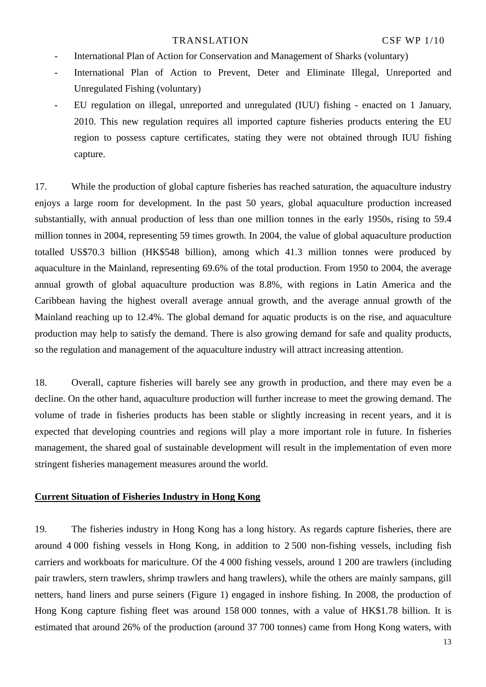- International Plan of Action for Conservation and Management of Sharks (voluntary)
- International Plan of Action to Prevent, Deter and Eliminate Illegal, Unreported and Unregulated Fishing (voluntary)
- EU regulation on illegal, unreported and unregulated (IUU) fishing enacted on 1 January, 2010. This new regulation requires all imported capture fisheries products entering the EU region to possess capture certificates, stating they were not obtained through IUU fishing capture.

17. While the production of global capture fisheries has reached saturation, the aquaculture industry enjoys a large room for development. In the past 50 years, global aquaculture production increased substantially, with annual production of less than one million tonnes in the early 1950s, rising to 59.4 million tonnes in 2004, representing 59 times growth. In 2004, the value of global aquaculture production totalled US\$70.3 billion (HK\$548 billion), among which 41.3 million tonnes were produced by aquaculture in the Mainland, representing 69.6% of the total production. From 1950 to 2004, the average annual growth of global aquaculture production was 8.8%, with regions in Latin America and the Caribbean having the highest overall average annual growth, and the average annual growth of the Mainland reaching up to 12.4%. The global demand for aquatic products is on the rise, and aquaculture production may help to satisfy the demand. There is also growing demand for safe and quality products, so the regulation and management of the aquaculture industry will attract increasing attention.

18. Overall, capture fisheries will barely see any growth in production, and there may even be a decline. On the other hand, aquaculture production will further increase to meet the growing demand. The volume of trade in fisheries products has been stable or slightly increasing in recent years, and it is expected that developing countries and regions will play a more important role in future. In fisheries management, the shared goal of sustainable development will result in the implementation of even more stringent fisheries management measures around the world.

# **Current Situation of Fisheries Industry in Hong Kong**

19. The fisheries industry in Hong Kong has a long history. As regards capture fisheries, there are around 4 000 fishing vessels in Hong Kong, in addition to 2 500 non-fishing vessels, including fish carriers and workboats for mariculture. Of the 4 000 fishing vessels, around 1 200 are trawlers (including pair trawlers, stern trawlers, shrimp trawlers and hang trawlers), while the others are mainly sampans, gill netters, hand liners and purse seiners (Figure 1) engaged in inshore fishing. In 2008, the production of Hong Kong capture fishing fleet was around 158 000 tonnes, with a value of HK\$1.78 billion. It is estimated that around 26% of the production (around 37 700 tonnes) came from Hong Kong waters, with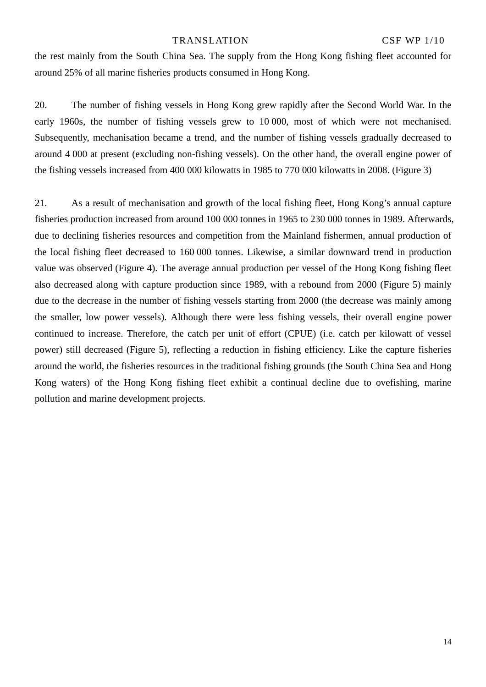the rest mainly from the South China Sea. The supply from the Hong Kong fishing fleet accounted for around 25% of all marine fisheries products consumed in Hong Kong.

20. The number of fishing vessels in Hong Kong grew rapidly after the Second World War. In the early 1960s, the number of fishing vessels grew to 10 000, most of which were not mechanised. Subsequently, mechanisation became a trend, and the number of fishing vessels gradually decreased to around 4 000 at present (excluding non-fishing vessels). On the other hand, the overall engine power of the fishing vessels increased from 400 000 kilowatts in 1985 to 770 000 kilowatts in 2008. (Figure 3)

21. As a result of mechanisation and growth of the local fishing fleet, Hong Kong's annual capture fisheries production increased from around 100 000 tonnes in 1965 to 230 000 tonnes in 1989. Afterwards, due to declining fisheries resources and competition from the Mainland fishermen, annual production of the local fishing fleet decreased to 160 000 tonnes. Likewise, a similar downward trend in production value was observed (Figure 4). The average annual production per vessel of the Hong Kong fishing fleet also decreased along with capture production since 1989, with a rebound from 2000 (Figure 5) mainly due to the decrease in the number of fishing vessels starting from 2000 (the decrease was mainly among the smaller, low power vessels). Although there were less fishing vessels, their overall engine power continued to increase. Therefore, the catch per unit of effort (CPUE) (i.e. catch per kilowatt of vessel power) still decreased (Figure 5), reflecting a reduction in fishing efficiency. Like the capture fisheries around the world, the fisheries resources in the traditional fishing grounds (the South China Sea and Hong Kong waters) of the Hong Kong fishing fleet exhibit a continual decline due to ovefishing, marine pollution and marine development projects.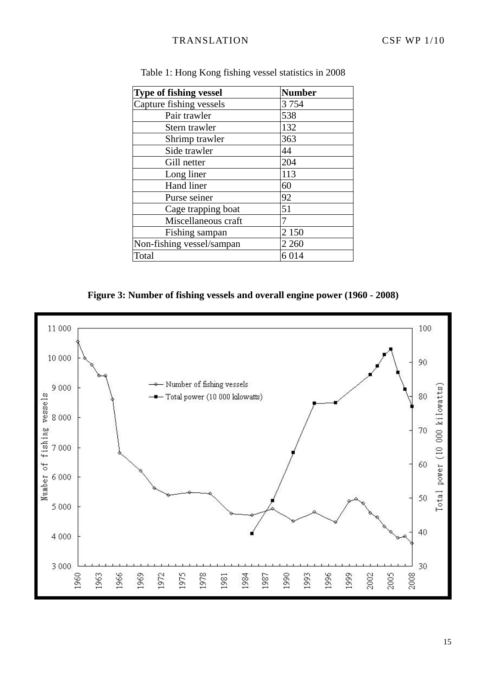| <b>Type of fishing vessel</b> | <b>Number</b> |
|-------------------------------|---------------|
| Capture fishing vessels       | 3754          |
| Pair trawler                  | 538           |
| Stern trawler                 | 132           |
| Shrimp trawler                | 363           |
| Side trawler                  | 44            |
| Gill netter                   | 204           |
| Long liner                    | 113           |
| Hand liner                    | 60            |
| Purse seiner                  | 92            |
| Cage trapping boat            | 51            |
| Miscellaneous craft           |               |
| Fishing sampan                | 2 1 5 0       |
| Non-fishing vessel/sampan     | 2 2 6 0       |
| Total                         | 6 014         |

Table 1: Hong Kong fishing vessel statistics in 2008

**Figure 3: Number of fishing vessels and overall engine power (1960 - 2008)** 

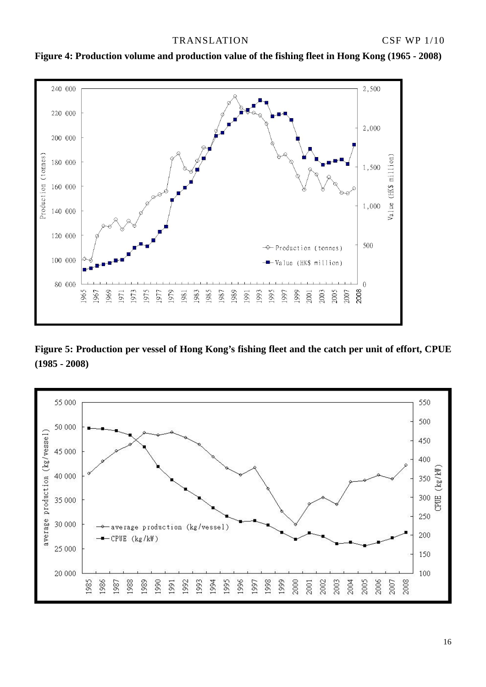

# **Figure 4: Production volume and production value of the fishing fleet in Hong Kong (1965 - 2008)**

**Figure 5: Production per vessel of Hong Kong's fishing fleet and the catch per unit of effort, CPUE (1985 - 2008)** 

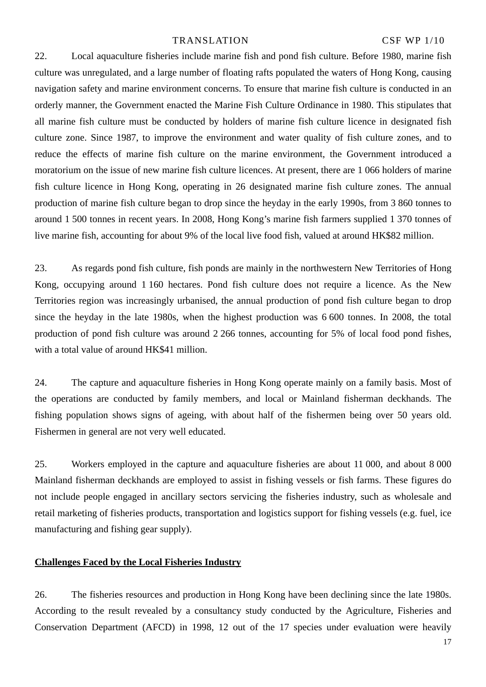22. Local aquaculture fisheries include marine fish and pond fish culture. Before 1980, marine fish culture was unregulated, and a large number of floating rafts populated the waters of Hong Kong, causing navigation safety and marine environment concerns. To ensure that marine fish culture is conducted in an orderly manner, the Government enacted the Marine Fish Culture Ordinance in 1980. This stipulates that all marine fish culture must be conducted by holders of marine fish culture licence in designated fish culture zone. Since 1987, to improve the environment and water quality of fish culture zones, and to reduce the effects of marine fish culture on the marine environment, the Government introduced a moratorium on the issue of new marine fish culture licences. At present, there are 1 066 holders of marine fish culture licence in Hong Kong, operating in 26 designated marine fish culture zones. The annual production of marine fish culture began to drop since the heyday in the early 1990s, from 3 860 tonnes to around 1 500 tonnes in recent years. In 2008, Hong Kong's marine fish farmers supplied 1 370 tonnes of live marine fish, accounting for about 9% of the local live food fish, valued at around HK\$82 million.

23. As regards pond fish culture, fish ponds are mainly in the northwestern New Territories of Hong Kong, occupying around 1 160 hectares. Pond fish culture does not require a licence. As the New Territories region was increasingly urbanised, the annual production of pond fish culture began to drop since the heyday in the late 1980s, when the highest production was 6 600 tonnes. In 2008, the total production of pond fish culture was around 2 266 tonnes, accounting for 5% of local food pond fishes, with a total value of around HK\$41 million.

24. The capture and aquaculture fisheries in Hong Kong operate mainly on a family basis. Most of the operations are conducted by family members, and local or Mainland fisherman deckhands. The fishing population shows signs of ageing, with about half of the fishermen being over 50 years old. Fishermen in general are not very well educated.

25. Workers employed in the capture and aquaculture fisheries are about 11 000, and about 8 000 Mainland fisherman deckhands are employed to assist in fishing vessels or fish farms. These figures do not include people engaged in ancillary sectors servicing the fisheries industry, such as wholesale and retail marketing of fisheries products, transportation and logistics support for fishing vessels (e.g. fuel, ice manufacturing and fishing gear supply).

## **Challenges Faced by the Local Fisheries Industry**

26. The fisheries resources and production in Hong Kong have been declining since the late 1980s. According to the result revealed by a consultancy study conducted by the Agriculture, Fisheries and Conservation Department (AFCD) in 1998, 12 out of the 17 species under evaluation were heavily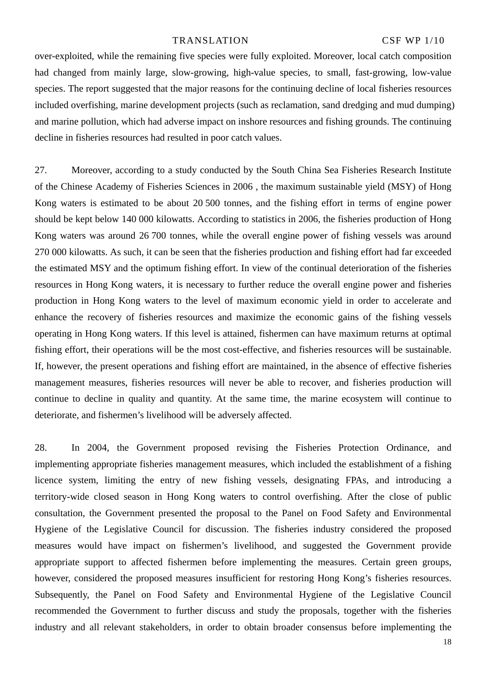over-exploited, while the remaining five species were fully exploited. Moreover, local catch composition had changed from mainly large, slow-growing, high-value species, to small, fast-growing, low-value species. The report suggested that the major reasons for the continuing decline of local fisheries resources included overfishing, marine development projects (such as reclamation, sand dredging and mud dumping) and marine pollution, which had adverse impact on inshore resources and fishing grounds. The continuing decline in fisheries resources had resulted in poor catch values.

27. Moreover, according to a study conducted by the South China Sea Fisheries Research Institute of the Chinese Academy of Fisheries Sciences in 2006 , the maximum sustainable yield (MSY) of Hong Kong waters is estimated to be about 20 500 tonnes, and the fishing effort in terms of engine power should be kept below 140 000 kilowatts. According to statistics in 2006, the fisheries production of Hong Kong waters was around 26 700 tonnes, while the overall engine power of fishing vessels was around 270 000 kilowatts. As such, it can be seen that the fisheries production and fishing effort had far exceeded the estimated MSY and the optimum fishing effort. In view of the continual deterioration of the fisheries resources in Hong Kong waters, it is necessary to further reduce the overall engine power and fisheries production in Hong Kong waters to the level of maximum economic yield in order to accelerate and enhance the recovery of fisheries resources and maximize the economic gains of the fishing vessels operating in Hong Kong waters. If this level is attained, fishermen can have maximum returns at optimal fishing effort, their operations will be the most cost-effective, and fisheries resources will be sustainable. If, however, the present operations and fishing effort are maintained, in the absence of effective fisheries management measures, fisheries resources will never be able to recover, and fisheries production will continue to decline in quality and quantity. At the same time, the marine ecosystem will continue to deteriorate, and fishermen's livelihood will be adversely affected.

28. In 2004, the Government proposed revising the Fisheries Protection Ordinance, and implementing appropriate fisheries management measures, which included the establishment of a fishing licence system, limiting the entry of new fishing vessels, designating FPAs, and introducing a territory-wide closed season in Hong Kong waters to control overfishing. After the close of public consultation, the Government presented the proposal to the Panel on Food Safety and Environmental Hygiene of the Legislative Council for discussion. The fisheries industry considered the proposed measures would have impact on fishermen's livelihood, and suggested the Government provide appropriate support to affected fishermen before implementing the measures. Certain green groups, however, considered the proposed measures insufficient for restoring Hong Kong's fisheries resources. Subsequently, the Panel on Food Safety and Environmental Hygiene of the Legislative Council recommended the Government to further discuss and study the proposals, together with the fisheries industry and all relevant stakeholders, in order to obtain broader consensus before implementing the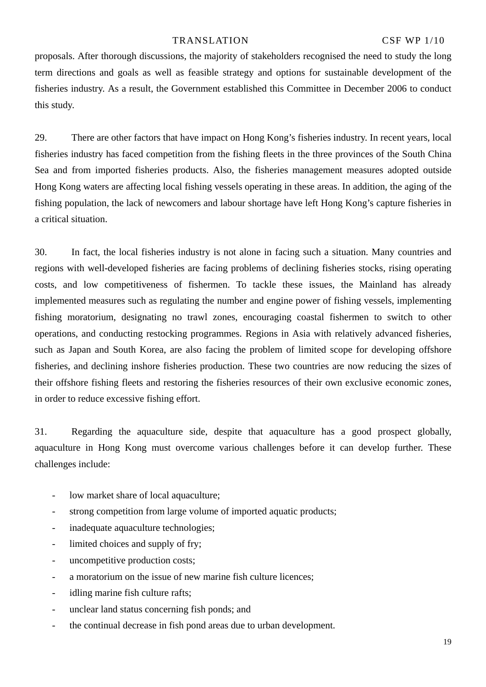proposals. After thorough discussions, the majority of stakeholders recognised the need to study the long term directions and goals as well as feasible strategy and options for sustainable development of the fisheries industry. As a result, the Government established this Committee in December 2006 to conduct this study.

29. There are other factors that have impact on Hong Kong's fisheries industry. In recent years, local fisheries industry has faced competition from the fishing fleets in the three provinces of the South China Sea and from imported fisheries products. Also, the fisheries management measures adopted outside Hong Kong waters are affecting local fishing vessels operating in these areas. In addition, the aging of the fishing population, the lack of newcomers and labour shortage have left Hong Kong's capture fisheries in a critical situation.

30. In fact, the local fisheries industry is not alone in facing such a situation. Many countries and regions with well-developed fisheries are facing problems of declining fisheries stocks, rising operating costs, and low competitiveness of fishermen. To tackle these issues, the Mainland has already implemented measures such as regulating the number and engine power of fishing vessels, implementing fishing moratorium, designating no trawl zones, encouraging coastal fishermen to switch to other operations, and conducting restocking programmes. Regions in Asia with relatively advanced fisheries, such as Japan and South Korea, are also facing the problem of limited scope for developing offshore fisheries, and declining inshore fisheries production. These two countries are now reducing the sizes of their offshore fishing fleets and restoring the fisheries resources of their own exclusive economic zones, in order to reduce excessive fishing effort.

31. Regarding the aquaculture side, despite that aquaculture has a good prospect globally, aquaculture in Hong Kong must overcome various challenges before it can develop further. These challenges include:

- low market share of local aquaculture;
- strong competition from large volume of imported aquatic products;
- inadequate aquaculture technologies;
- limited choices and supply of fry;
- uncompetitive production costs;
- a moratorium on the issue of new marine fish culture licences;
- idling marine fish culture rafts;
- unclear land status concerning fish ponds; and
- the continual decrease in fish pond areas due to urban development.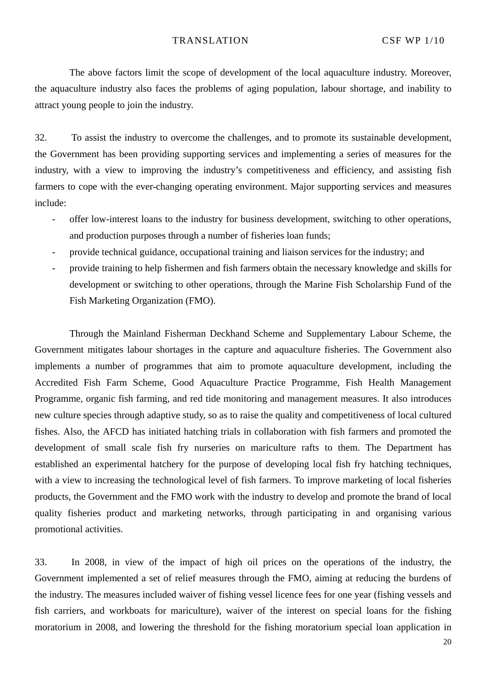The above factors limit the scope of development of the local aquaculture industry. Moreover, the aquaculture industry also faces the problems of aging population, labour shortage, and inability to attract young people to join the industry.

32. To assist the industry to overcome the challenges, and to promote its sustainable development, the Government has been providing supporting services and implementing a series of measures for the industry, with a view to improving the industry's competitiveness and efficiency, and assisting fish farmers to cope with the ever-changing operating environment. Major supporting services and measures include:

- offer low-interest loans to the industry for business development, switching to other operations, and production purposes through a number of fisheries loan funds;
- provide technical guidance, occupational training and liaison services for the industry; and
- provide training to help fishermen and fish farmers obtain the necessary knowledge and skills for development or switching to other operations, through the Marine Fish Scholarship Fund of the Fish Marketing Organization (FMO).

Through the Mainland Fisherman Deckhand Scheme and Supplementary Labour Scheme, the Government mitigates labour shortages in the capture and aquaculture fisheries. The Government also implements a number of programmes that aim to promote aquaculture development, including the Accredited Fish Farm Scheme, Good Aquaculture Practice Programme, Fish Health Management Programme, organic fish farming, and red tide monitoring and management measures. It also introduces new culture species through adaptive study, so as to raise the quality and competitiveness of local cultured fishes. Also, the AFCD has initiated hatching trials in collaboration with fish farmers and promoted the development of small scale fish fry nurseries on mariculture rafts to them. The Department has established an experimental hatchery for the purpose of developing local fish fry hatching techniques, with a view to increasing the technological level of fish farmers. To improve marketing of local fisheries products, the Government and the FMO work with the industry to develop and promote the brand of local quality fisheries product and marketing networks, through participating in and organising various promotional activities.

33. In 2008, in view of the impact of high oil prices on the operations of the industry, the Government implemented a set of relief measures through the FMO, aiming at reducing the burdens of the industry. The measures included waiver of fishing vessel licence fees for one year (fishing vessels and fish carriers, and workboats for mariculture), waiver of the interest on special loans for the fishing moratorium in 2008, and lowering the threshold for the fishing moratorium special loan application in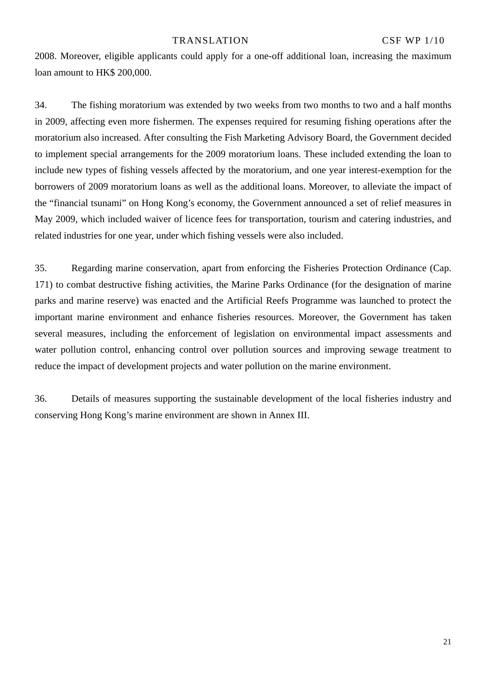2008. Moreover, eligible applicants could apply for a one-off additional loan, increasing the maximum loan amount to HK\$ 200,000.

34. The fishing moratorium was extended by two weeks from two months to two and a half months in 2009, affecting even more fishermen. The expenses required for resuming fishing operations after the moratorium also increased. After consulting the Fish Marketing Advisory Board, the Government decided to implement special arrangements for the 2009 moratorium loans. These included extending the loan to include new types of fishing vessels affected by the moratorium, and one year interest-exemption for the borrowers of 2009 moratorium loans as well as the additional loans. Moreover, to alleviate the impact of the "financial tsunami" on Hong Kong's economy, the Government announced a set of relief measures in May 2009, which included waiver of licence fees for transportation, tourism and catering industries, and related industries for one year, under which fishing vessels were also included.

35. Regarding marine conservation, apart from enforcing the Fisheries Protection Ordinance (Cap. 171) to combat destructive fishing activities, the Marine Parks Ordinance (for the designation of marine parks and marine reserve) was enacted and the Artificial Reefs Programme was launched to protect the important marine environment and enhance fisheries resources. Moreover, the Government has taken several measures, including the enforcement of legislation on environmental impact assessments and water pollution control, enhancing control over pollution sources and improving sewage treatment to reduce the impact of development projects and water pollution on the marine environment.

36. Details of measures supporting the sustainable development of the local fisheries industry and conserving Hong Kong's marine environment are shown in Annex III.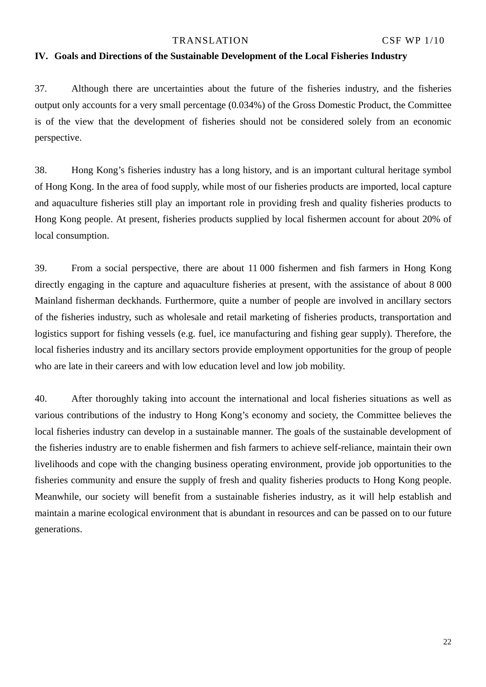# **IV. Goals and Directions of the Sustainable Development of the Local Fisheries Industry**

37. Although there are uncertainties about the future of the fisheries industry, and the fisheries output only accounts for a very small percentage (0.034%) of the Gross Domestic Product, the Committee is of the view that the development of fisheries should not be considered solely from an economic perspective.

38. Hong Kong's fisheries industry has a long history, and is an important cultural heritage symbol of Hong Kong. In the area of food supply, while most of our fisheries products are imported, local capture and aquaculture fisheries still play an important role in providing fresh and quality fisheries products to Hong Kong people. At present, fisheries products supplied by local fishermen account for about 20% of local consumption.

39. From a social perspective, there are about 11 000 fishermen and fish farmers in Hong Kong directly engaging in the capture and aquaculture fisheries at present, with the assistance of about 8 000 Mainland fisherman deckhands. Furthermore, quite a number of people are involved in ancillary sectors of the fisheries industry, such as wholesale and retail marketing of fisheries products, transportation and logistics support for fishing vessels (e.g. fuel, ice manufacturing and fishing gear supply). Therefore, the local fisheries industry and its ancillary sectors provide employment opportunities for the group of people who are late in their careers and with low education level and low job mobility.

40. After thoroughly taking into account the international and local fisheries situations as well as various contributions of the industry to Hong Kong's economy and society, the Committee believes the local fisheries industry can develop in a sustainable manner. The goals of the sustainable development of the fisheries industry are to enable fishermen and fish farmers to achieve self-reliance, maintain their own livelihoods and cope with the changing business operating environment, provide job opportunities to the fisheries community and ensure the supply of fresh and quality fisheries products to Hong Kong people. Meanwhile, our society will benefit from a sustainable fisheries industry, as it will help establish and maintain a marine ecological environment that is abundant in resources and can be passed on to our future generations.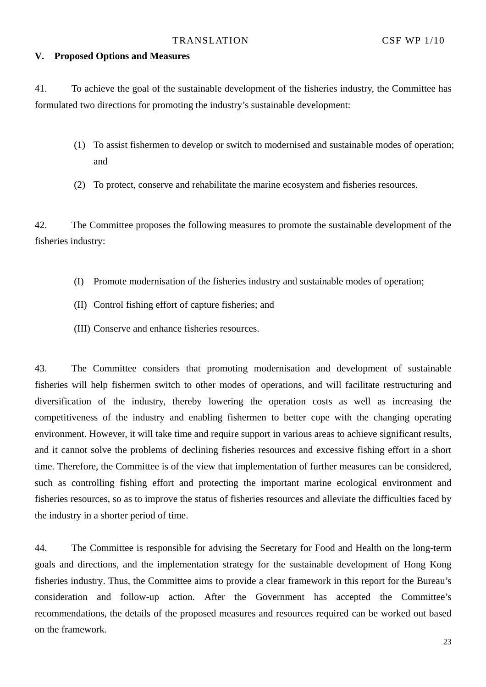#### **V. Proposed Options and Measures**

41. To achieve the goal of the sustainable development of the fisheries industry, the Committee has formulated two directions for promoting the industry's sustainable development:

- (1) To assist fishermen to develop or switch to modernised and sustainable modes of operation; and
- (2) To protect, conserve and rehabilitate the marine ecosystem and fisheries resources.

42. The Committee proposes the following measures to promote the sustainable development of the fisheries industry:

- (I) Promote modernisation of the fisheries industry and sustainable modes of operation;
- (II) Control fishing effort of capture fisheries; and
- (III) Conserve and enhance fisheries resources.

43. The Committee considers that promoting modernisation and development of sustainable fisheries will help fishermen switch to other modes of operations, and will facilitate restructuring and diversification of the industry, thereby lowering the operation costs as well as increasing the competitiveness of the industry and enabling fishermen to better cope with the changing operating environment. However, it will take time and require support in various areas to achieve significant results, and it cannot solve the problems of declining fisheries resources and excessive fishing effort in a short time. Therefore, the Committee is of the view that implementation of further measures can be considered, such as controlling fishing effort and protecting the important marine ecological environment and fisheries resources, so as to improve the status of fisheries resources and alleviate the difficulties faced by the industry in a shorter period of time.

44. The Committee is responsible for advising the Secretary for Food and Health on the long-term goals and directions, and the implementation strategy for the sustainable development of Hong Kong fisheries industry. Thus, the Committee aims to provide a clear framework in this report for the Bureau's consideration and follow-up action. After the Government has accepted the Committee's recommendations, the details of the proposed measures and resources required can be worked out based on the framework.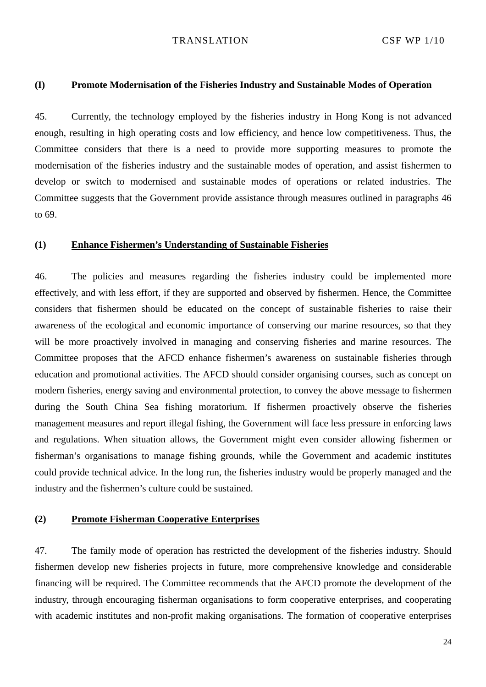#### **(I) Promote Modernisation of the Fisheries Industry and Sustainable Modes of Operation**

45. Currently, the technology employed by the fisheries industry in Hong Kong is not advanced enough, resulting in high operating costs and low efficiency, and hence low competitiveness. Thus, the Committee considers that there is a need to provide more supporting measures to promote the modernisation of the fisheries industry and the sustainable modes of operation, and assist fishermen to develop or switch to modernised and sustainable modes of operations or related industries. The Committee suggests that the Government provide assistance through measures outlined in paragraphs 46 to 69.

#### **(1) Enhance Fishermen's Understanding of Sustainable Fisheries**

46. The policies and measures regarding the fisheries industry could be implemented more effectively, and with less effort, if they are supported and observed by fishermen. Hence, the Committee considers that fishermen should be educated on the concept of sustainable fisheries to raise their awareness of the ecological and economic importance of conserving our marine resources, so that they will be more proactively involved in managing and conserving fisheries and marine resources. The Committee proposes that the AFCD enhance fishermen's awareness on sustainable fisheries through education and promotional activities. The AFCD should consider organising courses, such as concept on modern fisheries, energy saving and environmental protection, to convey the above message to fishermen during the South China Sea fishing moratorium. If fishermen proactively observe the fisheries management measures and report illegal fishing, the Government will face less pressure in enforcing laws and regulations. When situation allows, the Government might even consider allowing fishermen or fisherman's organisations to manage fishing grounds, while the Government and academic institutes could provide technical advice. In the long run, the fisheries industry would be properly managed and the industry and the fishermen's culture could be sustained.

# **(2) Promote Fisherman Cooperative Enterprises**

47. The family mode of operation has restricted the development of the fisheries industry. Should fishermen develop new fisheries projects in future, more comprehensive knowledge and considerable financing will be required. The Committee recommends that the AFCD promote the development of the industry, through encouraging fisherman organisations to form cooperative enterprises, and cooperating with academic institutes and non-profit making organisations. The formation of cooperative enterprises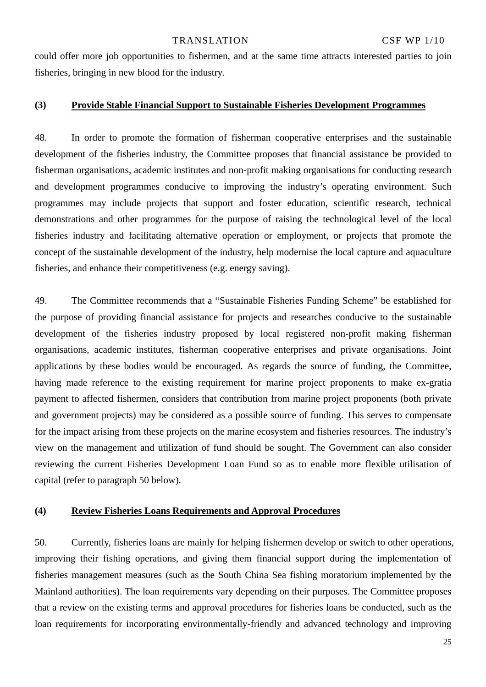could offer more job opportunities to fishermen, and at the same time attracts interested parties to join fisheries, bringing in new blood for the industry.

#### **(3) Provide Stable Financial Support to Sustainable Fisheries Development Programmes**

48. In order to promote the formation of fisherman cooperative enterprises and the sustainable development of the fisheries industry, the Committee proposes that financial assistance be provided to fisherman organisations, academic institutes and non-profit making organisations for conducting research and development programmes conducive to improving the industry's operating environment. Such programmes may include projects that support and foster education, scientific research, technical demonstrations and other programmes for the purpose of raising the technological level of the local fisheries industry and facilitating alternative operation or employment, or projects that promote the concept of the sustainable development of the industry, help modernise the local capture and aquaculture fisheries, and enhance their competitiveness (e.g. energy saving).

49. The Committee recommends that a "Sustainable Fisheries Funding Scheme" be established for the purpose of providing financial assistance for projects and researches conducive to the sustainable development of the fisheries industry proposed by local registered non-profit making fisherman organisations, academic institutes, fisherman cooperative enterprises and private organisations. Joint applications by these bodies would be encouraged. As regards the source of funding, the Committee, having made reference to the existing requirement for marine project proponents to make ex-gratia payment to affected fishermen, considers that contribution from marine project proponents (both private and government projects) may be considered as a possible source of funding. This serves to compensate for the impact arising from these projects on the marine ecosystem and fisheries resources. The industry's view on the management and utilization of fund should be sought. The Government can also consider reviewing the current Fisheries Development Loan Fund so as to enable more flexible utilisation of capital (refer to paragraph 50 below).

# **(4) Review Fisheries Loans Requirements and Approval Procedures**

50. Currently, fisheries loans are mainly for helping fishermen develop or switch to other operations, improving their fishing operations, and giving them financial support during the implementation of fisheries management measures (such as the South China Sea fishing moratorium implemented by the Mainland authorities). The loan requirements vary depending on their purposes. The Committee proposes that a review on the existing terms and approval procedures for fisheries loans be conducted, such as the loan requirements for incorporating environmentally-friendly and advanced technology and improving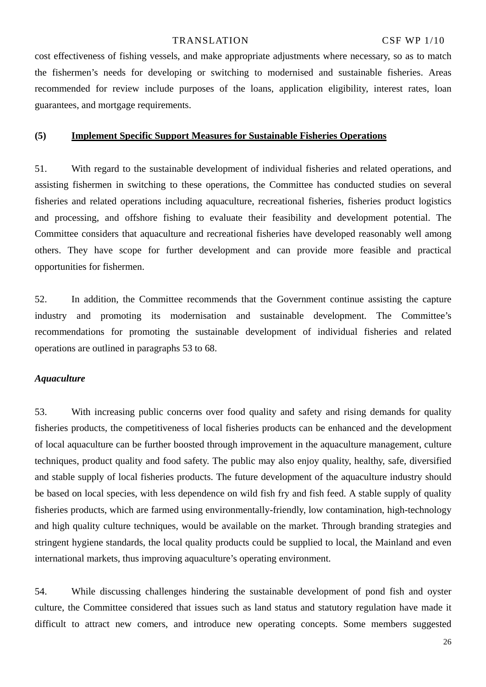cost effectiveness of fishing vessels, and make appropriate adjustments where necessary, so as to match the fishermen's needs for developing or switching to modernised and sustainable fisheries. Areas recommended for review include purposes of the loans, application eligibility, interest rates, loan guarantees, and mortgage requirements.

#### **(5) Implement Specific Support Measures for Sustainable Fisheries Operations**

51. With regard to the sustainable development of individual fisheries and related operations, and assisting fishermen in switching to these operations, the Committee has conducted studies on several fisheries and related operations including aquaculture, recreational fisheries, fisheries product logistics and processing, and offshore fishing to evaluate their feasibility and development potential. The Committee considers that aquaculture and recreational fisheries have developed reasonably well among others. They have scope for further development and can provide more feasible and practical opportunities for fishermen.

52. In addition, the Committee recommends that the Government continue assisting the capture industry and promoting its modernisation and sustainable development. The Committee's recommendations for promoting the sustainable development of individual fisheries and related operations are outlined in paragraphs 53 to 68.

#### *Aquaculture*

53. With increasing public concerns over food quality and safety and rising demands for quality fisheries products, the competitiveness of local fisheries products can be enhanced and the development of local aquaculture can be further boosted through improvement in the aquaculture management, culture techniques, product quality and food safety. The public may also enjoy quality, healthy, safe, diversified and stable supply of local fisheries products. The future development of the aquaculture industry should be based on local species, with less dependence on wild fish fry and fish feed. A stable supply of quality fisheries products, which are farmed using environmentally-friendly, low contamination, high-technology and high quality culture techniques, would be available on the market. Through branding strategies and stringent hygiene standards, the local quality products could be supplied to local, the Mainland and even international markets, thus improving aquaculture's operating environment.

54. While discussing challenges hindering the sustainable development of pond fish and oyster culture, the Committee considered that issues such as land status and statutory regulation have made it difficult to attract new comers, and introduce new operating concepts. Some members suggested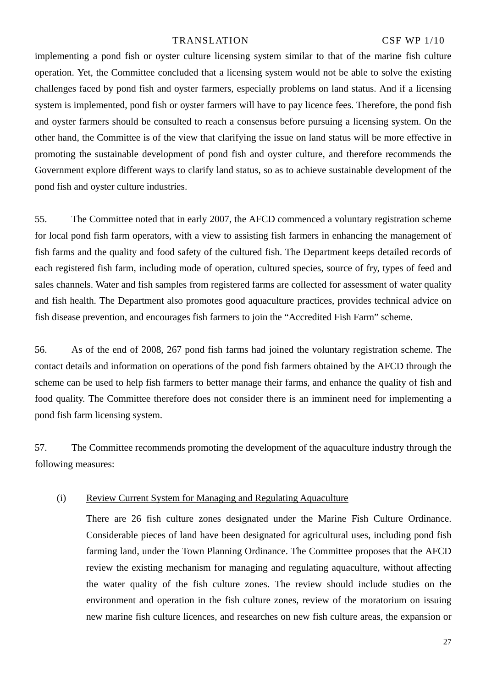implementing a pond fish or oyster culture licensing system similar to that of the marine fish culture operation. Yet, the Committee concluded that a licensing system would not be able to solve the existing challenges faced by pond fish and oyster farmers, especially problems on land status. And if a licensing system is implemented, pond fish or oyster farmers will have to pay licence fees. Therefore, the pond fish and oyster farmers should be consulted to reach a consensus before pursuing a licensing system. On the other hand, the Committee is of the view that clarifying the issue on land status will be more effective in promoting the sustainable development of pond fish and oyster culture, and therefore recommends the Government explore different ways to clarify land status, so as to achieve sustainable development of the pond fish and oyster culture industries.

55. The Committee noted that in early 2007, the AFCD commenced a voluntary registration scheme for local pond fish farm operators, with a view to assisting fish farmers in enhancing the management of fish farms and the quality and food safety of the cultured fish. The Department keeps detailed records of each registered fish farm, including mode of operation, cultured species, source of fry, types of feed and sales channels. Water and fish samples from registered farms are collected for assessment of water quality and fish health. The Department also promotes good aquaculture practices, provides technical advice on fish disease prevention, and encourages fish farmers to join the "Accredited Fish Farm" scheme.

56. As of the end of 2008, 267 pond fish farms had joined the voluntary registration scheme. The contact details and information on operations of the pond fish farmers obtained by the AFCD through the scheme can be used to help fish farmers to better manage their farms, and enhance the quality of fish and food quality. The Committee therefore does not consider there is an imminent need for implementing a pond fish farm licensing system.

57. The Committee recommends promoting the development of the aquaculture industry through the following measures:

# (i) Review Current System for Managing and Regulating Aquaculture

There are 26 fish culture zones designated under the Marine Fish Culture Ordinance. Considerable pieces of land have been designated for agricultural uses, including pond fish farming land, under the Town Planning Ordinance. The Committee proposes that the AFCD review the existing mechanism for managing and regulating aquaculture, without affecting the water quality of the fish culture zones. The review should include studies on the environment and operation in the fish culture zones, review of the moratorium on issuing new marine fish culture licences, and researches on new fish culture areas, the expansion or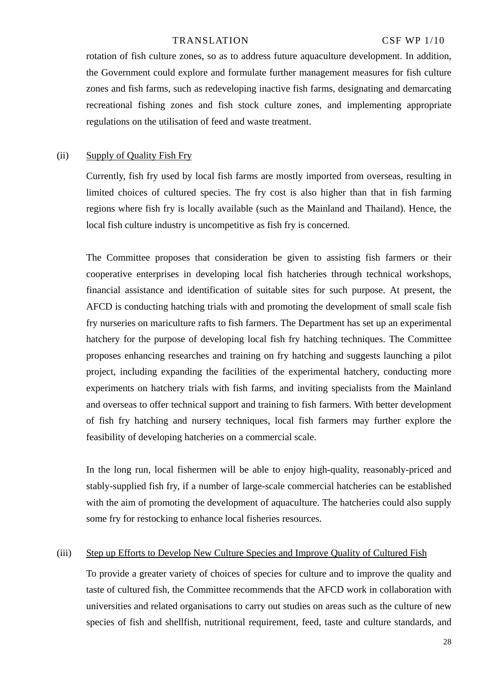rotation of fish culture zones, so as to address future aquaculture development. In addition, the Government could explore and formulate further management measures for fish culture zones and fish farms, such as redeveloping inactive fish farms, designating and demarcating recreational fishing zones and fish stock culture zones, and implementing appropriate regulations on the utilisation of feed and waste treatment.

#### (ii) Supply of Quality Fish Fry

Currently, fish fry used by local fish farms are mostly imported from overseas, resulting in limited choices of cultured species. The fry cost is also higher than that in fish farming regions where fish fry is locally available (such as the Mainland and Thailand). Hence, the local fish culture industry is uncompetitive as fish fry is concerned.

The Committee proposes that consideration be given to assisting fish farmers or their cooperative enterprises in developing local fish hatcheries through technical workshops, financial assistance and identification of suitable sites for such purpose. At present, the AFCD is conducting hatching trials with and promoting the development of small scale fish fry nurseries on mariculture rafts to fish farmers. The Department has set up an experimental hatchery for the purpose of developing local fish fry hatching techniques. The Committee proposes enhancing researches and training on fry hatching and suggests launching a pilot project, including expanding the facilities of the experimental hatchery, conducting more experiments on hatchery trials with fish farms, and inviting specialists from the Mainland and overseas to offer technical support and training to fish farmers. With better development of fish fry hatching and nursery techniques, local fish farmers may further explore the feasibility of developing hatcheries on a commercial scale.

In the long run, local fishermen will be able to enjoy high-quality, reasonably-priced and stably-supplied fish fry, if a number of large-scale commercial hatcheries can be established with the aim of promoting the development of aquaculture. The hatcheries could also supply some fry for restocking to enhance local fisheries resources.

#### (iii) Step up Efforts to Develop New Culture Species and Improve Quality of Cultured Fish

To provide a greater variety of choices of species for culture and to improve the quality and taste of cultured fish, the Committee recommends that the AFCD work in collaboration with universities and related organisations to carry out studies on areas such as the culture of new species of fish and shellfish, nutritional requirement, feed, taste and culture standards, and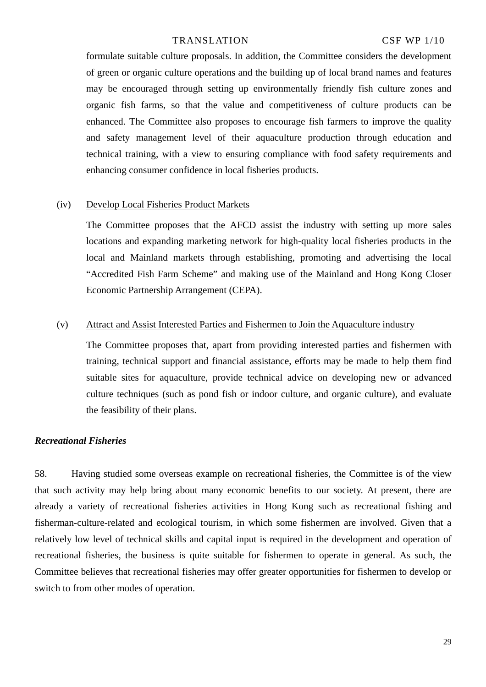formulate suitable culture proposals. In addition, the Committee considers the development of green or organic culture operations and the building up of local brand names and features may be encouraged through setting up environmentally friendly fish culture zones and organic fish farms, so that the value and competitiveness of culture products can be enhanced. The Committee also proposes to encourage fish farmers to improve the quality and safety management level of their aquaculture production through education and technical training, with a view to ensuring compliance with food safety requirements and enhancing consumer confidence in local fisheries products.

#### (iv) Develop Local Fisheries Product Markets

The Committee proposes that the AFCD assist the industry with setting up more sales locations and expanding marketing network for high-quality local fisheries products in the local and Mainland markets through establishing, promoting and advertising the local "Accredited Fish Farm Scheme" and making use of the Mainland and Hong Kong Closer Economic Partnership Arrangement (CEPA).

#### (v) Attract and Assist Interested Parties and Fishermen to Join the Aquaculture industry

The Committee proposes that, apart from providing interested parties and fishermen with training, technical support and financial assistance, efforts may be made to help them find suitable sites for aquaculture, provide technical advice on developing new or advanced culture techniques (such as pond fish or indoor culture, and organic culture), and evaluate the feasibility of their plans.

#### *Recreational Fisheries*

58. Having studied some overseas example on recreational fisheries, the Committee is of the view that such activity may help bring about many economic benefits to our society. At present, there are already a variety of recreational fisheries activities in Hong Kong such as recreational fishing and fisherman-culture-related and ecological tourism, in which some fishermen are involved. Given that a relatively low level of technical skills and capital input is required in the development and operation of recreational fisheries, the business is quite suitable for fishermen to operate in general. As such, the Committee believes that recreational fisheries may offer greater opportunities for fishermen to develop or switch to from other modes of operation.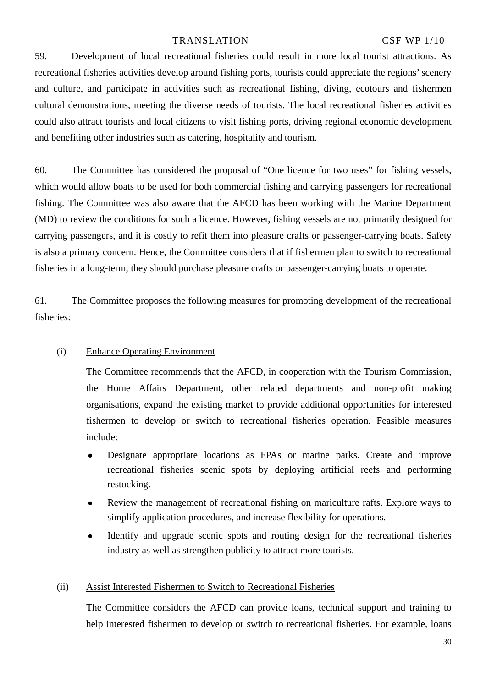59. Development of local recreational fisheries could result in more local tourist attractions. As recreational fisheries activities develop around fishing ports, tourists could appreciate the regions' scenery and culture, and participate in activities such as recreational fishing, diving, ecotours and fishermen cultural demonstrations, meeting the diverse needs of tourists. The local recreational fisheries activities could also attract tourists and local citizens to visit fishing ports, driving regional economic development and benefiting other industries such as catering, hospitality and tourism.

60. The Committee has considered the proposal of "One licence for two uses" for fishing vessels, which would allow boats to be used for both commercial fishing and carrying passengers for recreational fishing. The Committee was also aware that the AFCD has been working with the Marine Department (MD) to review the conditions for such a licence. However, fishing vessels are not primarily designed for carrying passengers, and it is costly to refit them into pleasure crafts or passenger-carrying boats. Safety is also a primary concern. Hence, the Committee considers that if fishermen plan to switch to recreational fisheries in a long-term, they should purchase pleasure crafts or passenger-carrying boats to operate.

61. The Committee proposes the following measures for promoting development of the recreational fisheries:

#### (i) Enhance Operating Environment

The Committee recommends that the AFCD, in cooperation with the Tourism Commission, the Home Affairs Department, other related departments and non-profit making organisations, expand the existing market to provide additional opportunities for interested fishermen to develop or switch to recreational fisheries operation. Feasible measures include:

- Designate appropriate locations as FPAs or marine parks. Create and improve recreational fisheries scenic spots by deploying artificial reefs and performing restocking.
- Review the management of recreational fishing on mariculture rafts. Explore ways to simplify application procedures, and increase flexibility for operations.
- Identify and upgrade scenic spots and routing design for the recreational fisheries industry as well as strengthen publicity to attract more tourists.

#### (ii) Assist Interested Fishermen to Switch to Recreational Fisheries

The Committee considers the AFCD can provide loans, technical support and training to help interested fishermen to develop or switch to recreational fisheries. For example, loans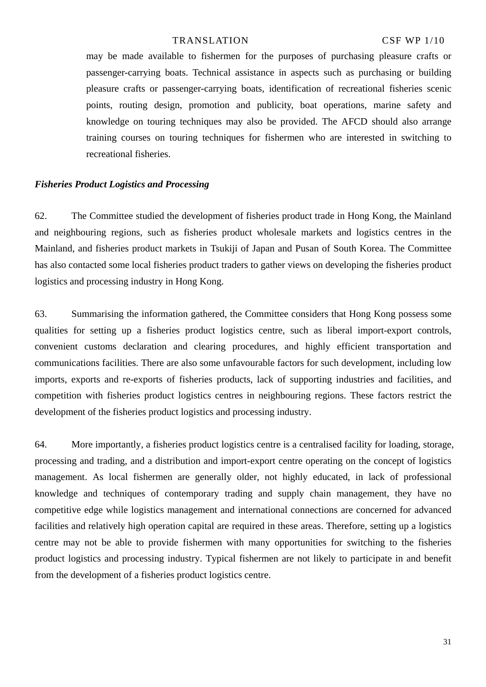may be made available to fishermen for the purposes of purchasing pleasure crafts or passenger-carrying boats. Technical assistance in aspects such as purchasing or building pleasure crafts or passenger-carrying boats, identification of recreational fisheries scenic points, routing design, promotion and publicity, boat operations, marine safety and knowledge on touring techniques may also be provided. The AFCD should also arrange training courses on touring techniques for fishermen who are interested in switching to recreational fisheries.

#### *Fisheries Product Logistics and Processing*

62. The Committee studied the development of fisheries product trade in Hong Kong, the Mainland and neighbouring regions, such as fisheries product wholesale markets and logistics centres in the Mainland, and fisheries product markets in Tsukiji of Japan and Pusan of South Korea. The Committee has also contacted some local fisheries product traders to gather views on developing the fisheries product logistics and processing industry in Hong Kong.

63. Summarising the information gathered, the Committee considers that Hong Kong possess some qualities for setting up a fisheries product logistics centre, such as liberal import-export controls, convenient customs declaration and clearing procedures, and highly efficient transportation and communications facilities. There are also some unfavourable factors for such development, including low imports, exports and re-exports of fisheries products, lack of supporting industries and facilities, and competition with fisheries product logistics centres in neighbouring regions. These factors restrict the development of the fisheries product logistics and processing industry.

64. More importantly, a fisheries product logistics centre is a centralised facility for loading, storage, processing and trading, and a distribution and import-export centre operating on the concept of logistics management. As local fishermen are generally older, not highly educated, in lack of professional knowledge and techniques of contemporary trading and supply chain management, they have no competitive edge while logistics management and international connections are concerned for advanced facilities and relatively high operation capital are required in these areas. Therefore, setting up a logistics centre may not be able to provide fishermen with many opportunities for switching to the fisheries product logistics and processing industry. Typical fishermen are not likely to participate in and benefit from the development of a fisheries product logistics centre.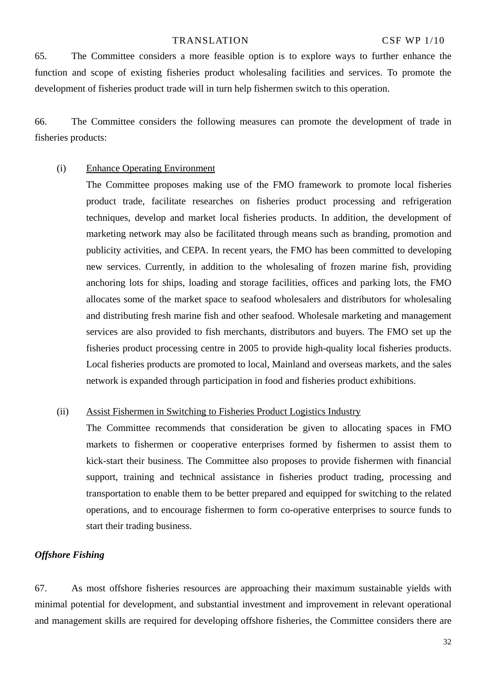65. The Committee considers a more feasible option is to explore ways to further enhance the function and scope of existing fisheries product wholesaling facilities and services. To promote the development of fisheries product trade will in turn help fishermen switch to this operation.

66. The Committee considers the following measures can promote the development of trade in fisheries products:

#### (i) Enhance Operating Environment

The Committee proposes making use of the FMO framework to promote local fisheries product trade, facilitate researches on fisheries product processing and refrigeration techniques, develop and market local fisheries products. In addition, the development of marketing network may also be facilitated through means such as branding, promotion and publicity activities, and CEPA. In recent years, the FMO has been committed to developing new services. Currently, in addition to the wholesaling of frozen marine fish, providing anchoring lots for ships, loading and storage facilities, offices and parking lots, the FMO allocates some of the market space to seafood wholesalers and distributors for wholesaling and distributing fresh marine fish and other seafood. Wholesale marketing and management services are also provided to fish merchants, distributors and buyers. The FMO set up the fisheries product processing centre in 2005 to provide high-quality local fisheries products. Local fisheries products are promoted to local, Mainland and overseas markets, and the sales network is expanded through participation in food and fisheries product exhibitions.

### (ii) Assist Fishermen in Switching to Fisheries Product Logistics Industry

The Committee recommends that consideration be given to allocating spaces in FMO markets to fishermen or cooperative enterprises formed by fishermen to assist them to kick-start their business. The Committee also proposes to provide fishermen with financial support, training and technical assistance in fisheries product trading, processing and transportation to enable them to be better prepared and equipped for switching to the related operations, and to encourage fishermen to form co-operative enterprises to source funds to start their trading business.

### *Offshore Fishing*

67. As most offshore fisheries resources are approaching their maximum sustainable yields with minimal potential for development, and substantial investment and improvement in relevant operational and management skills are required for developing offshore fisheries, the Committee considers there are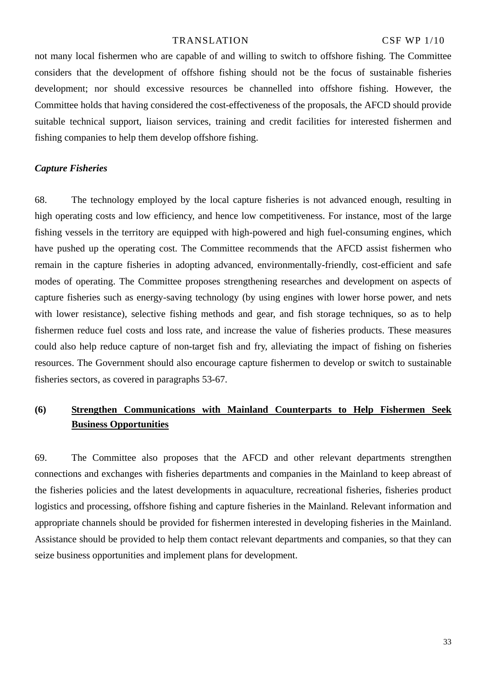not many local fishermen who are capable of and willing to switch to offshore fishing. The Committee considers that the development of offshore fishing should not be the focus of sustainable fisheries development; nor should excessive resources be channelled into offshore fishing. However, the Committee holds that having considered the cost-effectiveness of the proposals, the AFCD should provide suitable technical support, liaison services, training and credit facilities for interested fishermen and fishing companies to help them develop offshore fishing.

#### *Capture Fisheries*

68. The technology employed by the local capture fisheries is not advanced enough, resulting in high operating costs and low efficiency, and hence low competitiveness. For instance, most of the large fishing vessels in the territory are equipped with high-powered and high fuel-consuming engines, which have pushed up the operating cost. The Committee recommends that the AFCD assist fishermen who remain in the capture fisheries in adopting advanced, environmentally-friendly, cost-efficient and safe modes of operating. The Committee proposes strengthening researches and development on aspects of capture fisheries such as energy-saving technology (by using engines with lower horse power, and nets with lower resistance), selective fishing methods and gear, and fish storage techniques, so as to help fishermen reduce fuel costs and loss rate, and increase the value of fisheries products. These measures could also help reduce capture of non-target fish and fry, alleviating the impact of fishing on fisheries resources. The Government should also encourage capture fishermen to develop or switch to sustainable fisheries sectors, as covered in paragraphs 53-67.

## **(6) Strengthen Communications with Mainland Counterparts to Help Fishermen Seek Business Opportunities**

69. The Committee also proposes that the AFCD and other relevant departments strengthen connections and exchanges with fisheries departments and companies in the Mainland to keep abreast of the fisheries policies and the latest developments in aquaculture, recreational fisheries, fisheries product logistics and processing, offshore fishing and capture fisheries in the Mainland. Relevant information and appropriate channels should be provided for fishermen interested in developing fisheries in the Mainland. Assistance should be provided to help them contact relevant departments and companies, so that they can seize business opportunities and implement plans for development.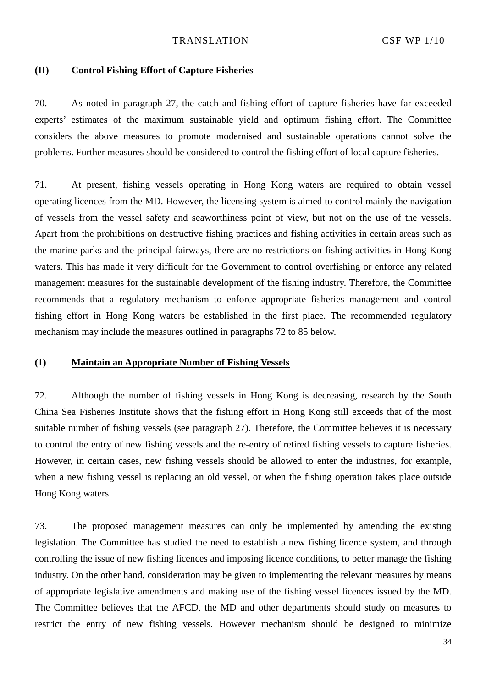#### **(II) Control Fishing Effort of Capture Fisheries**

70. As noted in paragraph 27, the catch and fishing effort of capture fisheries have far exceeded experts' estimates of the maximum sustainable yield and optimum fishing effort. The Committee considers the above measures to promote modernised and sustainable operations cannot solve the problems. Further measures should be considered to control the fishing effort of local capture fisheries.

71. At present, fishing vessels operating in Hong Kong waters are required to obtain vessel operating licences from the MD. However, the licensing system is aimed to control mainly the navigation of vessels from the vessel safety and seaworthiness point of view, but not on the use of the vessels. Apart from the prohibitions on destructive fishing practices and fishing activities in certain areas such as the marine parks and the principal fairways, there are no restrictions on fishing activities in Hong Kong waters. This has made it very difficult for the Government to control overfishing or enforce any related management measures for the sustainable development of the fishing industry. Therefore, the Committee recommends that a regulatory mechanism to enforce appropriate fisheries management and control fishing effort in Hong Kong waters be established in the first place. The recommended regulatory mechanism may include the measures outlined in paragraphs 72 to 85 below.

#### **(1) Maintain an Appropriate Number of Fishing Vessels**

72. Although the number of fishing vessels in Hong Kong is decreasing, research by the South China Sea Fisheries Institute shows that the fishing effort in Hong Kong still exceeds that of the most suitable number of fishing vessels (see paragraph 27). Therefore, the Committee believes it is necessary to control the entry of new fishing vessels and the re-entry of retired fishing vessels to capture fisheries. However, in certain cases, new fishing vessels should be allowed to enter the industries, for example, when a new fishing vessel is replacing an old vessel, or when the fishing operation takes place outside Hong Kong waters.

73. The proposed management measures can only be implemented by amending the existing legislation. The Committee has studied the need to establish a new fishing licence system, and through controlling the issue of new fishing licences and imposing licence conditions, to better manage the fishing industry. On the other hand, consideration may be given to implementing the relevant measures by means of appropriate legislative amendments and making use of the fishing vessel licences issued by the MD. The Committee believes that the AFCD, the MD and other departments should study on measures to restrict the entry of new fishing vessels. However mechanism should be designed to minimize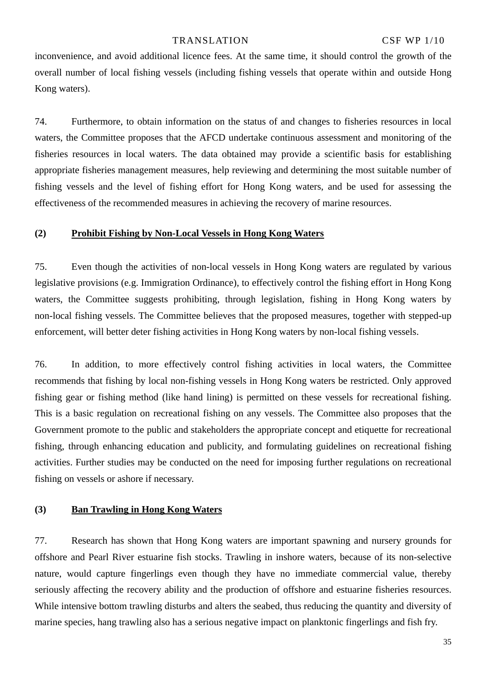inconvenience, and avoid additional licence fees. At the same time, it should control the growth of the overall number of local fishing vessels (including fishing vessels that operate within and outside Hong Kong waters).

74. Furthermore, to obtain information on the status of and changes to fisheries resources in local waters, the Committee proposes that the [AFCD](http://hk.wrs.yahoo.com/_ylt=A3xsaQWsRQ5LtfIAUGnwzAt.;_ylu=X3oDMTBya2NsM2FiBHNlYwNzcgRwb3MDMQRjb2xvA2hrMgR2dGlkAw--/SIG=11brqtljb/EXP=1259312940/**http%3a/www.afcd.gov.hk/) undertake continuous assessment and monitoring of the fisheries resources in local waters. The data obtained may provide a scientific basis for establishing appropriate fisheries management measures, help reviewing and determining the most suitable number of fishing vessels and the level of fishing effort for Hong Kong waters, and be used for assessing the effectiveness of the recommended measures in achieving the recovery of marine resources.

#### **(2) Prohibit Fishing by Non-Local Vessels in Hong Kong Waters**

75. Even though the activities of non-local vessels in Hong Kong waters are regulated by various legislative provisions (e.g. Immigration Ordinance), to effectively control the fishing effort in Hong Kong waters, the Committee suggests prohibiting, through legislation, fishing in Hong Kong waters by non-local fishing vessels. The Committee believes that the proposed measures, together with stepped-up enforcement, will better deter fishing activities in Hong Kong waters by non-local fishing vessels.

76. In addition, to more effectively control fishing activities in local waters, the Committee recommends that fishing by local non-fishing vessels in Hong Kong waters be restricted. Only approved fishing gear or fishing method (like hand lining) is permitted on these vessels for recreational fishing. This is a basic regulation on recreational fishing on any vessels. The Committee also proposes that the Government promote to the public and stakeholders the appropriate concept and etiquette for recreational fishing, through enhancing education and publicity, and formulating guidelines on recreational fishing activities. Further studies may be conducted on the need for imposing further regulations on recreational fishing on vessels or ashore if necessary.

#### **(3) Ban Trawling in Hong Kong Waters**

77. Research has shown that Hong Kong waters are important spawning and nursery grounds for offshore and Pearl River estuarine fish stocks. Trawling in inshore waters, because of its non-selective nature, would capture fingerlings even though they have no immediate commercial value, thereby seriously affecting the recovery ability and the production of offshore and estuarine fisheries resources. While intensive bottom trawling disturbs and alters the seabed, thus reducing the quantity and diversity of marine species, hang trawling also has a serious negative impact on planktonic fingerlings and fish fry.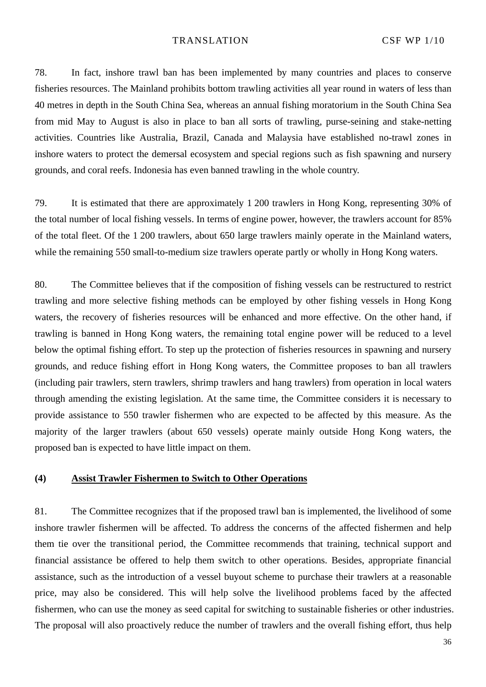78. In fact, inshore trawl ban has been implemented by many countries and places to conserve fisheries resources. The Mainland prohibits bottom trawling activities all year round in waters of less than 40 metres in depth in the South China Sea, whereas an annual fishing moratorium in the South China Sea from mid May to August is also in place to ban all sorts of trawling, purse-seining and stake-netting activities. Countries like Australia, Brazil, Canada and Malaysia have established no-trawl zones in inshore waters to protect the demersal ecosystem and special regions such as fish spawning and nursery grounds, and coral reefs. Indonesia has even banned trawling in the whole country.

79. It is estimated that there are approximately 1 200 trawlers in Hong Kong, representing 30% of the total number of local fishing vessels. In terms of engine power, however, the trawlers account for 85% of the total fleet. Of the 1 200 trawlers, about 650 large trawlers mainly operate in the Mainland waters, while the remaining 550 small-to-medium size trawlers operate partly or wholly in Hong Kong waters.

80. The Committee believes that if the composition of fishing vessels can be restructured to restrict trawling and more selective fishing methods can be employed by other fishing vessels in Hong Kong waters, the recovery of fisheries resources will be enhanced and more effective. On the other hand, if trawling is banned in Hong Kong waters, the remaining total engine power will be reduced to a level below the optimal fishing effort. To step up the protection of fisheries resources in spawning and nursery grounds, and reduce fishing effort in Hong Kong waters, the Committee proposes to ban all trawlers (including pair trawlers, stern trawlers, shrimp trawlers and hang trawlers) from operation in local waters through amending the existing legislation. At the same time, the Committee considers it is necessary to provide assistance to 550 trawler fishermen who are expected to be affected by this measure. As the majority of the larger trawlers (about 650 vessels) operate mainly outside Hong Kong waters, the proposed ban is expected to have little impact on them.

#### **(4) Assist Trawler Fishermen to Switch to Other Operations**

81. The Committee recognizes that if the proposed trawl ban is implemented, the livelihood of some inshore trawler fishermen will be affected. To address the concerns of the affected fishermen and help them tie over the transitional period, the Committee recommends that training, technical support and financial assistance be offered to help them switch to other operations. Besides, appropriate financial assistance, such as the introduction of a vessel buyout scheme to purchase their trawlers at a reasonable price, may also be considered. This will help solve the livelihood problems faced by the affected fishermen, who can use the money as seed capital for switching to sustainable fisheries or other industries. The proposal will also proactively reduce the number of trawlers and the overall fishing effort, thus help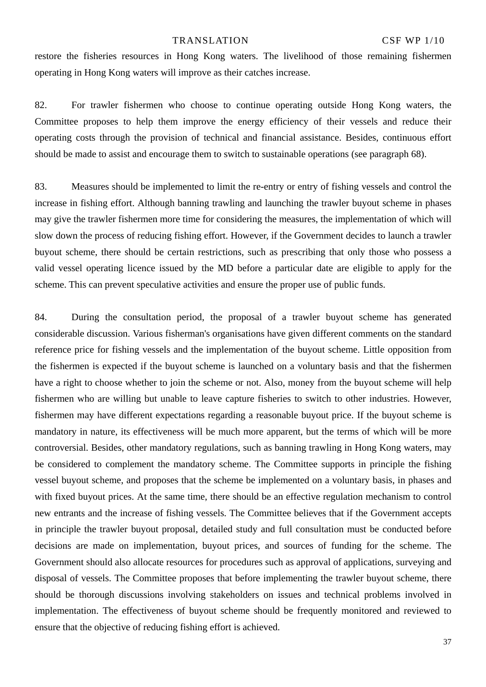restore the fisheries resources in Hong Kong waters. The livelihood of those remaining fishermen operating in Hong Kong waters will improve as their catches increase.

82. For trawler fishermen who choose to continue operating outside Hong Kong waters, the Committee proposes to help them improve the energy efficiency of their vessels and reduce their operating costs through the provision of technical and financial assistance. Besides, continuous effort should be made to assist and encourage them to switch to sustainable operations (see paragraph 68).

83. Measures should be implemented to limit the re-entry or entry of fishing vessels and control the increase in fishing effort. Although banning trawling and launching the trawler buyout scheme in phases may give the trawler fishermen more time for considering the measures, the implementation of which will slow down the process of reducing fishing effort. However, if the Government decides to launch a trawler buyout scheme, there should be certain restrictions, such as prescribing that only those who possess a valid vessel operating licence issued by the MD before a particular date are eligible to apply for the scheme. This can prevent speculative activities and ensure the proper use of public funds.

84. During the consultation period, the proposal of a trawler buyout scheme has generated considerable discussion. Various fisherman's organisations have given different comments on the standard reference price for fishing vessels and the implementation of the buyout scheme. Little opposition from the fishermen is expected if the buyout scheme is launched on a voluntary basis and that the fishermen have a right to choose whether to join the scheme or not. Also, money from the buyout scheme will help fishermen who are willing but unable to leave capture fisheries to switch to other industries. However, fishermen may have different expectations regarding a reasonable buyout price. If the buyout scheme is mandatory in nature, its effectiveness will be much more apparent, but the terms of which will be more controversial. Besides, other mandatory regulations, such as banning trawling in Hong Kong waters, may be considered to complement the mandatory scheme. The Committee supports in principle the fishing vessel buyout scheme, and proposes that the scheme be implemented on a voluntary basis, in phases and with fixed buyout prices. At the same time, there should be an effective regulation mechanism to control new entrants and the increase of fishing vessels. The Committee believes that if the Government accepts in principle the trawler buyout proposal, detailed study and full consultation must be conducted before decisions are made on implementation, buyout prices, and sources of funding for the scheme. The Government should also allocate resources for procedures such as approval of applications, surveying and disposal of vessels. The Committee proposes that before implementing the trawler buyout scheme, there should be thorough discussions involving stakeholders on issues and technical problems involved in implementation. The effectiveness of buyout scheme should be frequently monitored and reviewed to ensure that the objective of reducing fishing effort is achieved.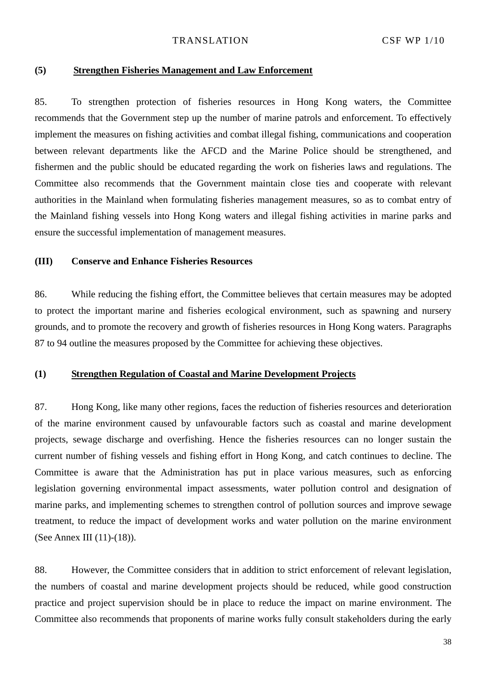#### **(5) Strengthen Fisheries Management and Law Enforcement**

85. To strengthen protection of fisheries resources in Hong Kong waters, the Committee recommends that the Government step up the number of marine patrols and enforcement. To effectively implement the measures on fishing activities and combat illegal fishing, communications and cooperation between relevant departments like the [AFCD](http://hk.wrs.yahoo.com/_ylt=A3xsaQWsRQ5LtfIAUGnwzAt.;_ylu=X3oDMTBya2NsM2FiBHNlYwNzcgRwb3MDMQRjb2xvA2hrMgR2dGlkAw--/SIG=11brqtljb/EXP=1259312940/**http%3a/www.afcd.gov.hk/) and the Marine Police should be strengthened, and fishermen and the public should be educated regarding the work on fisheries laws and regulations. The Committee also recommends that the Government maintain close ties and cooperate with relevant authorities in the Mainland when formulating fisheries management measures, so as to combat entry of the Mainland fishing vessels into Hong Kong waters and illegal fishing activities in marine parks and ensure the successful implementation of management measures.

#### **(III) Conserve and Enhance Fisheries Resources**

86. While reducing the fishing effort, the Committee believes that certain measures may be adopted to protect the important marine and fisheries ecological environment, such as spawning and nursery grounds, and to promote the recovery and growth of fisheries resources in Hong Kong waters. Paragraphs 87 to 94 outline the measures proposed by the Committee for achieving these objectives.

#### **(1) Strengthen Regulation of Coastal and Marine Development Projects**

87. Hong Kong, like many other regions, faces the reduction of fisheries resources and deterioration of the marine environment caused by unfavourable factors such as coastal and marine development projects, sewage discharge and overfishing. Hence the fisheries resources can no longer sustain the current number of fishing vessels and fishing effort in Hong Kong, and catch continues to decline. The Committee is aware that the Administration has put in place various measures, such as enforcing legislation governing environmental impact assessments, water pollution control and designation of marine parks, and implementing schemes to strengthen control of pollution sources and improve sewage treatment, to reduce the impact of development works and water pollution on the marine environment (See Annex III (11)-(18)).

88. However, the Committee considers that in addition to strict enforcement of relevant legislation, the numbers of coastal and marine development projects should be reduced, while good construction practice and project supervision should be in place to reduce the impact on marine environment. The Committee also recommends that proponents of marine works fully consult stakeholders during the early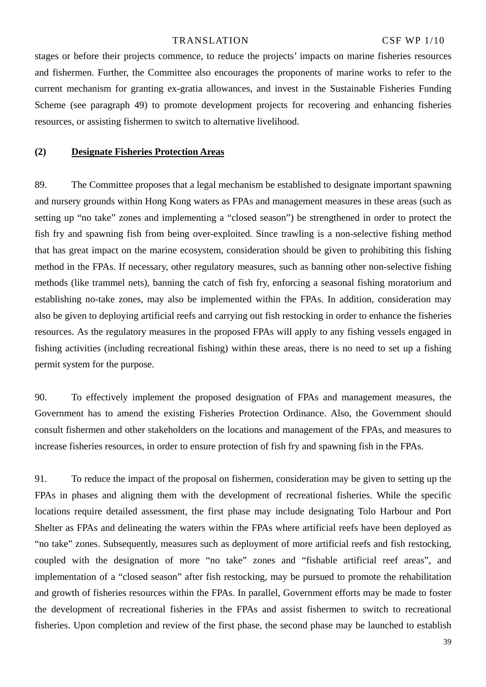stages or before their projects commence, to reduce the projects' impacts on marine fisheries resources and fishermen. Further, the Committee also encourages the proponents of marine works to refer to the current mechanism for granting ex-gratia allowances, and invest in the Sustainable Fisheries Funding Scheme (see paragraph 49) to promote development projects for recovering and enhancing fisheries resources, or assisting fishermen to switch to alternative livelihood.

#### **(2) Designate Fisheries Protection Areas**

89. The Committee proposes that a legal mechanism be established to designate important spawning and nursery grounds within Hong Kong waters as FPAs and management measures in these areas (such as setting up "no take" zones and implementing a "closed season") be strengthened in order to protect the fish fry and spawning fish from being over-exploited. Since trawling is a non-selective fishing method that has great impact on the marine ecosystem, consideration should be given to prohibiting this fishing method in the FPAs. If necessary, other regulatory measures, such as banning other non-selective fishing methods (like trammel nets), banning the catch of fish fry, enforcing a seasonal fishing moratorium and establishing no-take zones, may also be implemented within the FPAs. In addition, consideration may also be given to deploying artificial reefs and carrying out fish restocking in order to enhance the fisheries resources. As the regulatory measures in the proposed FPAs will apply to any fishing vessels engaged in fishing activities (including recreational fishing) within these areas, there is no need to set up a fishing permit system for the purpose.

90. To effectively implement the proposed designation of FPAs and management measures, the Government has to amend the existing Fisheries Protection Ordinance. Also, the Government should consult fishermen and other stakeholders on the locations and management of the FPAs, and measures to increase fisheries resources, in order to ensure protection of fish fry and spawning fish in the FPAs.

91. To reduce the impact of the proposal on fishermen, consideration may be given to setting up the FPAs in phases and aligning them with the development of recreational fisheries. While the specific locations require detailed assessment, the first phase may include designating Tolo Harbour and Port Shelter as FPAs and delineating the waters within the FPAs where artificial reefs have been deployed as "no take" zones. Subsequently, measures such as deployment of more artificial reefs and fish restocking, coupled with the designation of more "no take" zones and "fishable artificial reef areas", and implementation of a "closed season" after fish restocking, may be pursued to promote the rehabilitation and growth of fisheries resources within the FPAs. In parallel, Government efforts may be made to foster the development of recreational fisheries in the FPAs and assist fishermen to switch to recreational fisheries. Upon completion and review of the first phase, the second phase may be launched to establish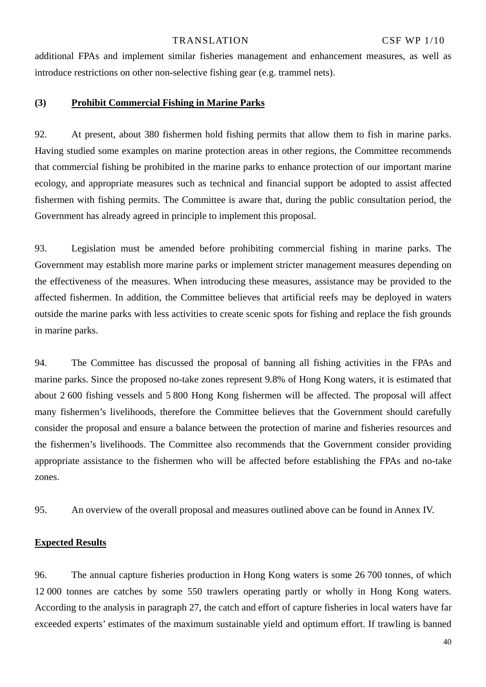additional FPAs and implement similar fisheries management and enhancement measures, as well as introduce restrictions on other non-selective fishing gear (e.g. trammel nets).

#### **(3) Prohibit Commercial Fishing in Marine Parks**

92. At present, about 380 fishermen hold fishing permits that allow them to fish in marine parks. Having studied some examples on marine protection areas in other regions, the Committee recommends that commercial fishing be prohibited in the marine parks to enhance protection of our important marine ecology, and appropriate measures such as technical and financial support be adopted to assist affected fishermen with fishing permits. The Committee is aware that, during the public consultation period, the Government has already agreed in principle to implement this proposal.

93. Legislation must be amended before prohibiting commercial fishing in marine parks. The Government may establish more marine parks or implement stricter management measures depending on the effectiveness of the measures. When introducing these measures, assistance may be provided to the affected fishermen. In addition, the Committee believes that artificial reefs may be deployed in waters outside the marine parks with less activities to create scenic spots for fishing and replace the fish grounds in marine parks.

94. The Committee has discussed the proposal of banning all fishing activities in the FPAs and marine parks. Since the proposed no-take zones represent 9.8% of Hong Kong waters, it is estimated that about 2 600 fishing vessels and 5 800 Hong Kong fishermen will be affected. The proposal will affect many fishermen's livelihoods, therefore the Committee believes that the Government should carefully consider the proposal and ensure a balance between the protection of marine and fisheries resources and the fishermen's livelihoods. The Committee also recommends that the Government consider providing appropriate assistance to the fishermen who will be affected before establishing the FPAs and no-take zones.

95. An overview of the overall proposal and measures outlined above can be found in Annex IV.

#### **Expected Results**

96. The annual capture fisheries production in Hong Kong waters is some 26 700 tonnes, of which 12 000 tonnes are catches by some 550 trawlers operating partly or wholly in Hong Kong waters. According to the analysis in paragraph 27, the catch and effort of capture fisheries in local waters have far exceeded experts' estimates of the maximum sustainable yield and optimum effort. If trawling is banned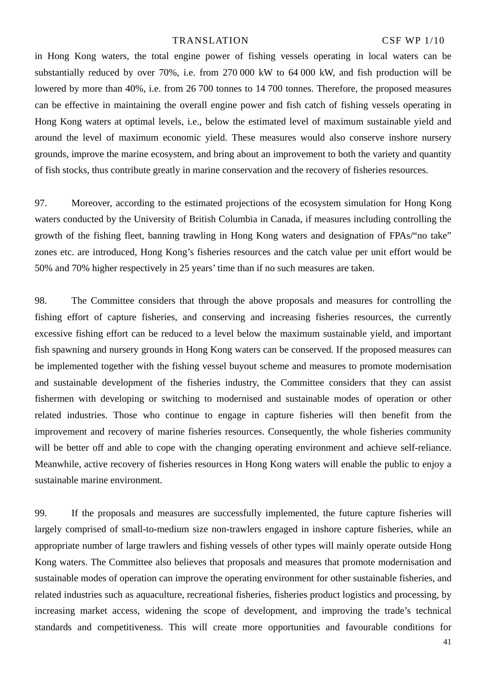in Hong Kong waters, the total engine power of fishing vessels operating in local waters can be substantially reduced by over 70%, i.e. from 270 000 kW to 64 000 kW, and fish production will be lowered by more than 40%, i.e. from 26 700 tonnes to 14 700 tonnes. Therefore, the proposed measures can be effective in maintaining the overall engine power and fish catch of fishing vessels operating in Hong Kong waters at optimal levels, i.e., below the estimated level of maximum sustainable yield and around the level of maximum economic yield. These measures would also conserve inshore nursery grounds, improve the marine ecosystem, and bring about an improvement to both the variety and quantity of fish stocks, thus contribute greatly in marine conservation and the recovery of fisheries resources.

97. Moreover, according to the estimated projections of the ecosystem simulation for Hong Kong waters conducted by the University of British Columbia in Canada, if measures including controlling the growth of the fishing fleet, banning trawling in Hong Kong waters and designation of FPAs/"no take" zones etc. are introduced, Hong Kong's fisheries resources and the catch value per unit effort would be 50% and 70% higher respectively in 25 years' time than if no such measures are taken.

98. The Committee considers that through the above proposals and measures for controlling the fishing effort of capture fisheries, and conserving and increasing fisheries resources, the currently excessive fishing effort can be reduced to a level below the maximum sustainable yield, and important fish spawning and nursery grounds in Hong Kong waters can be conserved. If the proposed measures can be implemented together with the fishing vessel buyout scheme and measures to promote modernisation and sustainable development of the fisheries industry, the Committee considers that they can assist fishermen with developing or switching to modernised and sustainable modes of operation or other related industries. Those who continue to engage in capture fisheries will then benefit from the improvement and recovery of marine fisheries resources. Consequently, the whole fisheries community will be better off and able to cope with the changing operating environment and achieve self-reliance. Meanwhile, active recovery of fisheries resources in Hong Kong waters will enable the public to enjoy a sustainable marine environment.

99. If the proposals and measures are successfully implemented, the future capture fisheries will largely comprised of small-to-medium size non-trawlers engaged in inshore capture fisheries, while an appropriate number of large trawlers and fishing vessels of other types will mainly operate outside Hong Kong waters. The Committee also believes that proposals and measures that promote modernisation and sustainable modes of operation can improve the operating environment for other sustainable fisheries, and related industries such as aquaculture, recreational fisheries, fisheries product logistics and processing, by increasing market access, widening the scope of development, and improving the trade's technical standards and competitiveness. This will create more opportunities and favourable conditions for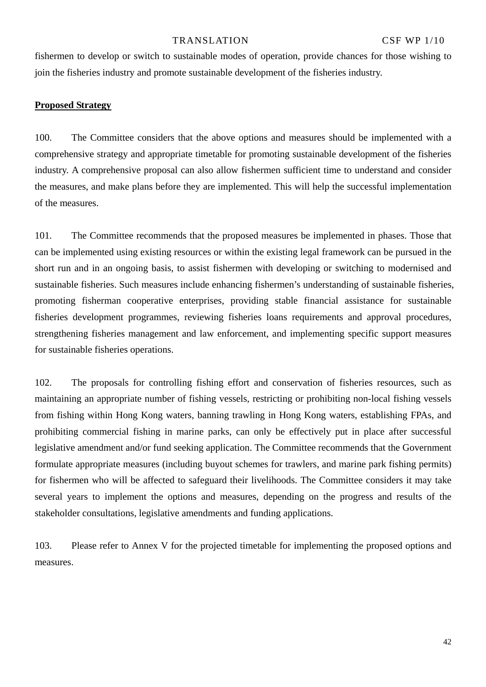fishermen to develop or switch to sustainable modes of operation, provide chances for those wishing to join the fisheries industry and promote sustainable development of the fisheries industry.

#### **Proposed Strategy**

100. The Committee considers that the above options and measures should be implemented with a comprehensive strategy and appropriate timetable for promoting sustainable development of the fisheries industry. A comprehensive proposal can also allow fishermen sufficient time to understand and consider the measures, and make plans before they are implemented. This will help the successful implementation of the measures.

101. The Committee recommends that the proposed measures be implemented in phases. Those that can be implemented using existing resources or within the existing legal framework can be pursued in the short run and in an ongoing basis, to assist fishermen with developing or switching to modernised and sustainable fisheries. Such measures include enhancing fishermen's understanding of sustainable fisheries, promoting fisherman cooperative enterprises, providing stable financial assistance for sustainable fisheries development programmes, reviewing fisheries loans requirements and approval procedures, strengthening fisheries management and law enforcement, and implementing specific support measures for sustainable fisheries operations.

102. The proposals for controlling fishing effort and conservation of fisheries resources, such as maintaining an appropriate number of fishing vessels, restricting or prohibiting non-local fishing vessels from fishing within Hong Kong waters, banning trawling in Hong Kong waters, establishing FPAs, and prohibiting commercial fishing in marine parks, can only be effectively put in place after successful legislative amendment and/or fund seeking application. The Committee recommends that the Government formulate appropriate measures (including buyout schemes for trawlers, and marine park fishing permits) for fishermen who will be affected to safeguard their livelihoods. The Committee considers it may take several years to implement the options and measures, depending on the progress and results of the stakeholder consultations, legislative amendments and funding applications.

103. Please refer to Annex V for the projected timetable for implementing the proposed options and measures.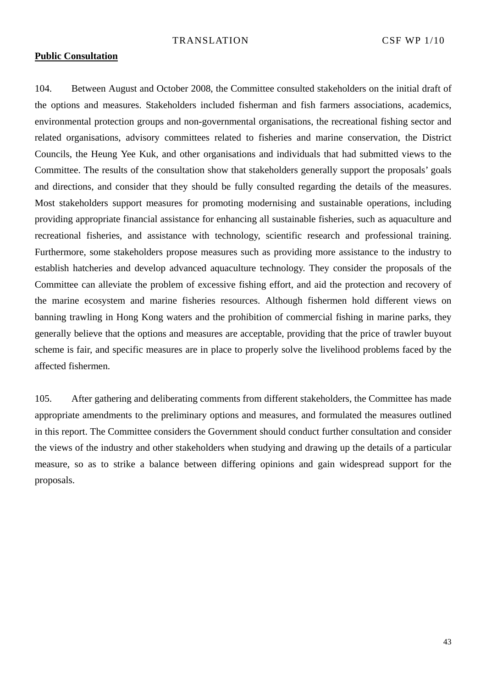#### **Public Consultation**

104. Between August and October 2008, the Committee consulted stakeholders on the initial draft of the options and measures. Stakeholders included fisherman and fish farmers associations, academics, environmental protection groups and non-governmental organisations, the recreational fishing sector and related organisations, advisory committees related to fisheries and marine conservation, the District Councils, the Heung Yee Kuk, and other organisations and individuals that had submitted views to the Committee. The results of the consultation show that stakeholders generally support the proposals' goals and directions, and consider that they should be fully consulted regarding the details of the measures. Most stakeholders support measures for promoting modernising and sustainable operations, including providing appropriate financial assistance for enhancing all sustainable fisheries, such as aquaculture and recreational fisheries, and assistance with technology, scientific research and professional training. Furthermore, some stakeholders propose measures such as providing more assistance to the industry to establish hatcheries and develop advanced aquaculture technology. They consider the proposals of the Committee can alleviate the problem of excessive fishing effort, and aid the protection and recovery of the marine ecosystem and marine fisheries resources. Although fishermen hold different views on banning trawling in Hong Kong waters and the prohibition of commercial fishing in marine parks, they generally believe that the options and measures are acceptable, providing that the price of trawler buyout scheme is fair, and specific measures are in place to properly solve the livelihood problems faced by the affected fishermen.

105. After gathering and deliberating comments from different stakeholders, the Committee has made appropriate amendments to the preliminary options and measures, and formulated the measures outlined in this report. The Committee considers the Government should conduct further consultation and consider the views of the industry and other stakeholders when studying and drawing up the details of a particular measure, so as to strike a balance between differing opinions and gain widespread support for the proposals.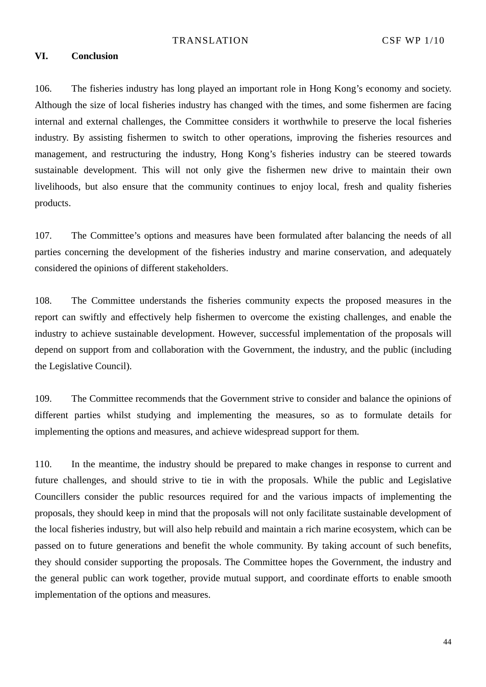#### **VI. Conclusion**

106. The fisheries industry has long played an important role in Hong Kong's economy and society. Although the size of local fisheries industry has changed with the times, and some fishermen are facing internal and external challenges, the Committee considers it worthwhile to preserve the local fisheries industry. By assisting fishermen to switch to other operations, improving the fisheries resources and management, and restructuring the industry, Hong Kong's fisheries industry can be steered towards sustainable development. This will not only give the fishermen new drive to maintain their own livelihoods, but also ensure that the community continues to enjoy local, fresh and quality fisheries products.

107. The Committee's options and measures have been formulated after balancing the needs of all parties concerning the development of the fisheries industry and marine conservation, and adequately considered the opinions of different stakeholders.

108. The Committee understands the fisheries community expects the proposed measures in the report can swiftly and effectively help fishermen to overcome the existing challenges, and enable the industry to achieve sustainable development. However, successful implementation of the proposals will depend on support from and collaboration with the Government, the industry, and the public (including the Legislative Council).

109. The Committee recommends that the Government strive to consider and balance the opinions of different parties whilst studying and implementing the measures, so as to formulate details for implementing the options and measures, and achieve widespread support for them.

110. In the meantime, the industry should be prepared to make changes in response to current and future challenges, and should strive to tie in with the proposals. While the public and Legislative Councillers consider the public resources required for and the various impacts of implementing the proposals, they should keep in mind that the proposals will not only facilitate sustainable development of the local fisheries industry, but will also help rebuild and maintain a rich marine ecosystem, which can be passed on to future generations and benefit the whole community. By taking account of such benefits, they should consider supporting the proposals. The Committee hopes the Government, the industry and the general public can work together, provide mutual support, and coordinate efforts to enable smooth implementation of the options and measures.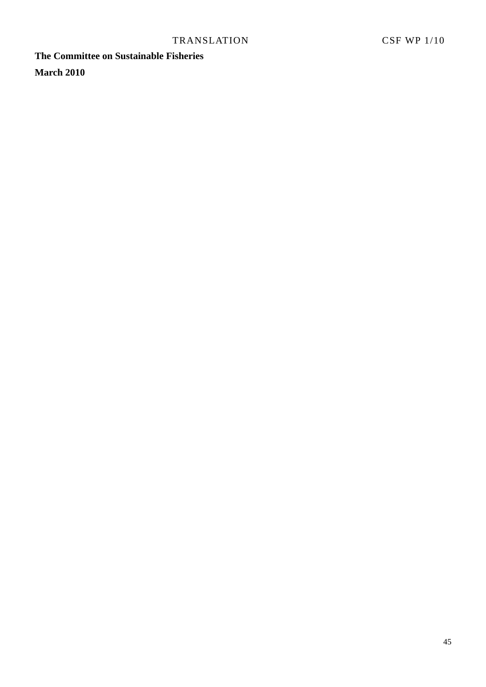**The Committee on Sustainable Fisheries** 

**March 2010**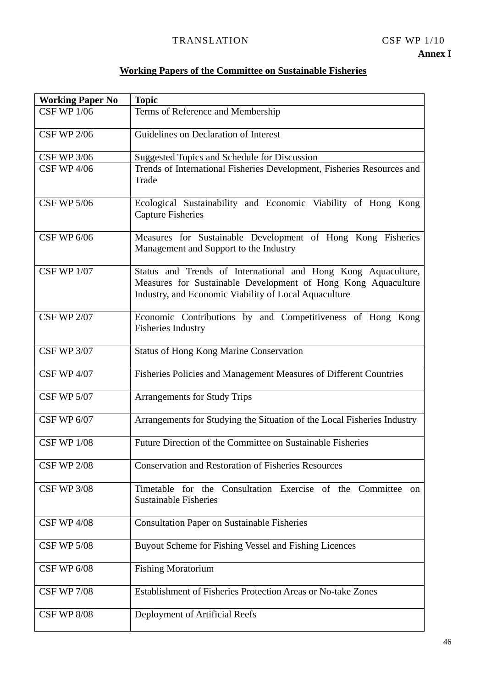**Annex I** 

|  | <b>Working Papers of the Committee on Sustainable Fisheries</b> |  |
|--|-----------------------------------------------------------------|--|

| <b>Working Paper No</b> | <b>Topic</b>                                                                                                                                                                            |
|-------------------------|-----------------------------------------------------------------------------------------------------------------------------------------------------------------------------------------|
| <b>CSF WP 1/06</b>      | Terms of Reference and Membership                                                                                                                                                       |
| <b>CSF WP 2/06</b>      | Guidelines on Declaration of Interest                                                                                                                                                   |
| <b>CSF WP 3/06</b>      | Suggested Topics and Schedule for Discussion                                                                                                                                            |
| <b>CSF WP 4/06</b>      | Trends of International Fisheries Development, Fisheries Resources and<br>Trade                                                                                                         |
| <b>CSF WP 5/06</b>      | Ecological Sustainability and Economic Viability of Hong Kong<br><b>Capture Fisheries</b>                                                                                               |
| <b>CSF WP 6/06</b>      | Measures for Sustainable Development of Hong Kong Fisheries<br>Management and Support to the Industry                                                                                   |
| <b>CSF WP 1/07</b>      | Status and Trends of International and Hong Kong Aquaculture,<br>Measures for Sustainable Development of Hong Kong Aquaculture<br>Industry, and Economic Viability of Local Aquaculture |
| <b>CSF WP 2/07</b>      | Economic Contributions by and Competitiveness of Hong Kong<br><b>Fisheries Industry</b>                                                                                                 |
| <b>CSF WP 3/07</b>      | <b>Status of Hong Kong Marine Conservation</b>                                                                                                                                          |
| <b>CSF WP 4/07</b>      | Fisheries Policies and Management Measures of Different Countries                                                                                                                       |
| <b>CSF WP 5/07</b>      | <b>Arrangements for Study Trips</b>                                                                                                                                                     |
| <b>CSF WP 6/07</b>      | Arrangements for Studying the Situation of the Local Fisheries Industry                                                                                                                 |
| <b>CSF WP 1/08</b>      | Future Direction of the Committee on Sustainable Fisheries                                                                                                                              |
| <b>CSF WP 2/08</b>      | <b>Conservation and Restoration of Fisheries Resources</b>                                                                                                                              |
| <b>CSF WP 3/08</b>      | Timetable for the Consultation Exercise of the Committee<br><sub>on</sub><br><b>Sustainable Fisheries</b>                                                                               |
| <b>CSF WP 4/08</b>      | <b>Consultation Paper on Sustainable Fisheries</b>                                                                                                                                      |
| <b>CSF WP 5/08</b>      | Buyout Scheme for Fishing Vessel and Fishing Licences                                                                                                                                   |
| <b>CSF WP 6/08</b>      | <b>Fishing Moratorium</b>                                                                                                                                                               |
| <b>CSF WP 7/08</b>      | Establishment of Fisheries Protection Areas or No-take Zones                                                                                                                            |
| <b>CSF WP 8/08</b>      | Deployment of Artificial Reefs                                                                                                                                                          |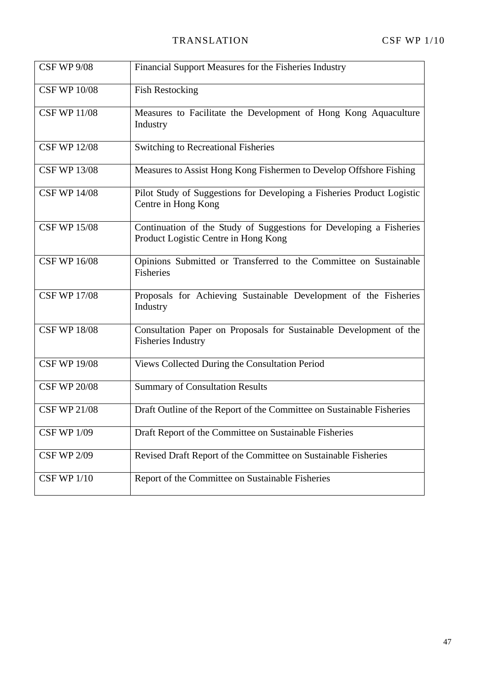| <b>CSF WP 9/08</b>  | Financial Support Measures for the Fisheries Industry                                                       |
|---------------------|-------------------------------------------------------------------------------------------------------------|
| <b>CSF WP 10/08</b> | <b>Fish Restocking</b>                                                                                      |
| <b>CSF WP 11/08</b> | Measures to Facilitate the Development of Hong Kong Aquaculture<br>Industry                                 |
| <b>CSF WP 12/08</b> | <b>Switching to Recreational Fisheries</b>                                                                  |
| <b>CSF WP 13/08</b> | Measures to Assist Hong Kong Fishermen to Develop Offshore Fishing                                          |
| <b>CSF WP 14/08</b> | Pilot Study of Suggestions for Developing a Fisheries Product Logistic<br>Centre in Hong Kong               |
| <b>CSF WP 15/08</b> | Continuation of the Study of Suggestions for Developing a Fisheries<br>Product Logistic Centre in Hong Kong |
| <b>CSF WP 16/08</b> | Opinions Submitted or Transferred to the Committee on Sustainable<br>Fisheries                              |
| <b>CSF WP 17/08</b> | Proposals for Achieving Sustainable Development of the Fisheries<br>Industry                                |
| <b>CSF WP 18/08</b> | Consultation Paper on Proposals for Sustainable Development of the<br><b>Fisheries Industry</b>             |
| <b>CSF WP 19/08</b> | Views Collected During the Consultation Period                                                              |
| <b>CSF WP 20/08</b> | <b>Summary of Consultation Results</b>                                                                      |
| <b>CSF WP 21/08</b> | Draft Outline of the Report of the Committee on Sustainable Fisheries                                       |
| <b>CSF WP 1/09</b>  | Draft Report of the Committee on Sustainable Fisheries                                                      |
| <b>CSF WP 2/09</b>  | Revised Draft Report of the Committee on Sustainable Fisheries                                              |
| <b>CSF WP 1/10</b>  | Report of the Committee on Sustainable Fisheries                                                            |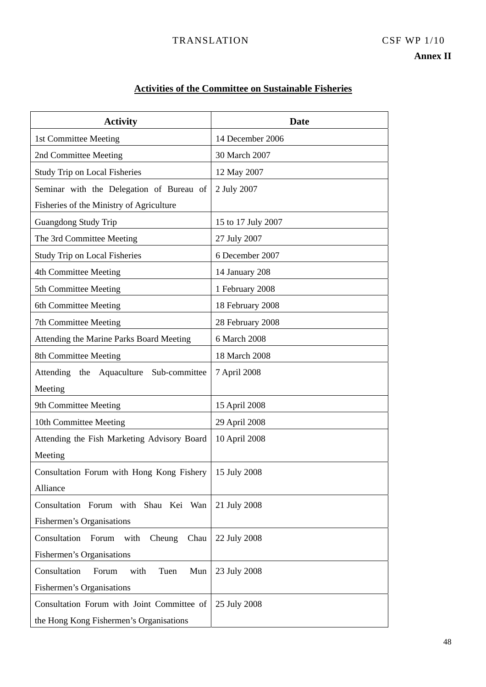# **Activities of the Committee on Sustainable Fisheries**

| <b>Activity</b>                              | <b>Date</b>        |
|----------------------------------------------|--------------------|
| 1st Committee Meeting                        | 14 December 2006   |
| 2nd Committee Meeting                        | 30 March 2007      |
| <b>Study Trip on Local Fisheries</b>         | 12 May 2007        |
| Seminar with the Delegation of Bureau of     | 2 July 2007        |
| Fisheries of the Ministry of Agriculture     |                    |
| <b>Guangdong Study Trip</b>                  | 15 to 17 July 2007 |
| The 3rd Committee Meeting                    | 27 July 2007       |
| <b>Study Trip on Local Fisheries</b>         | 6 December 2007    |
| 4th Committee Meeting                        | 14 January 208     |
| 5th Committee Meeting                        | 1 February 2008    |
| 6th Committee Meeting                        | 18 February 2008   |
| 7th Committee Meeting                        | 28 February 2008   |
| Attending the Marine Parks Board Meeting     | 6 March 2008       |
| 8th Committee Meeting                        | 18 March 2008      |
| Attending the Aquaculture<br>Sub-committee   | 7 April 2008       |
| Meeting                                      |                    |
| 9th Committee Meeting                        | 15 April 2008      |
| 10th Committee Meeting                       | 29 April 2008      |
| Attending the Fish Marketing Advisory Board  | 10 April 2008      |
| Meeting                                      |                    |
| Consultation Forum with Hong Kong Fishery    | 15 July 2008       |
| Alliance                                     |                    |
| Consultation Forum with Shau Kei Wan         | 21 July 2008       |
| Fishermen's Organisations                    |                    |
| Consultation<br>Forum with<br>Cheung<br>Chau | 22 July 2008       |
| Fishermen's Organisations                    |                    |
| Consultation<br>Forum<br>with<br>Tuen<br>Mun | 23 July 2008       |
| Fishermen's Organisations                    |                    |
| Consultation Forum with Joint Committee of   | 25 July 2008       |
| the Hong Kong Fishermen's Organisations      |                    |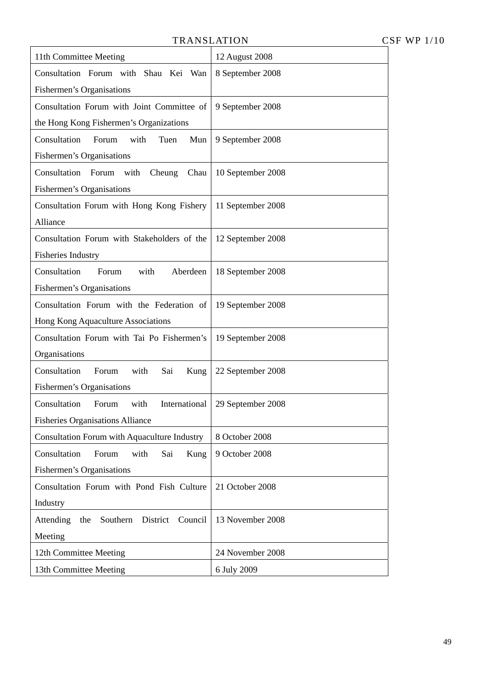| 11th Committee Meeting                              | 12 August 2008    |
|-----------------------------------------------------|-------------------|
| Consultation Forum with Shau Kei Wan                | 8 September 2008  |
| Fishermen's Organisations                           |                   |
| Consultation Forum with Joint Committee of          | 9 September 2008  |
| the Hong Kong Fishermen's Organizations             |                   |
| Consultation<br>Forum<br>with<br>Tuen<br>Mun        | 9 September 2008  |
| Fishermen's Organisations                           |                   |
| Consultation<br>Forum with<br>Cheung<br>Chau        | 10 September 2008 |
| Fishermen's Organisations                           |                   |
| Consultation Forum with Hong Kong Fishery           | 11 September 2008 |
| Alliance                                            |                   |
| Consultation Forum with Stakeholders of the         | 12 September 2008 |
| <b>Fisheries Industry</b>                           |                   |
| Consultation<br>with<br>Aberdeen<br>Forum           | 18 September 2008 |
| Fishermen's Organisations                           |                   |
| Consultation Forum with the Federation of           | 19 September 2008 |
| Hong Kong Aquaculture Associations                  |                   |
| Consultation Forum with Tai Po Fishermen's          | 19 September 2008 |
| Organisations                                       |                   |
| Consultation<br>with<br>Sai<br>Forum<br>Kung        | 22 September 2008 |
| Fishermen's Organisations                           |                   |
| Consultation<br>Forum<br>with<br>International      | 29 September 2008 |
| <b>Fisheries Organisations Alliance</b>             |                   |
| Consultation Forum with Aquaculture Industry        | 8 October 2008    |
| Consultation<br>Forum<br>with<br>Sai<br>Kung        | 9 October 2008    |
| Fishermen's Organisations                           |                   |
| Consultation Forum with Pond Fish Culture           | 21 October 2008   |
| Industry                                            |                   |
| Attending<br>Southern<br>District<br>Council<br>the | 13 November 2008  |
| Meeting                                             |                   |
| 12th Committee Meeting                              | 24 November 2008  |
| 13th Committee Meeting                              | 6 July 2009       |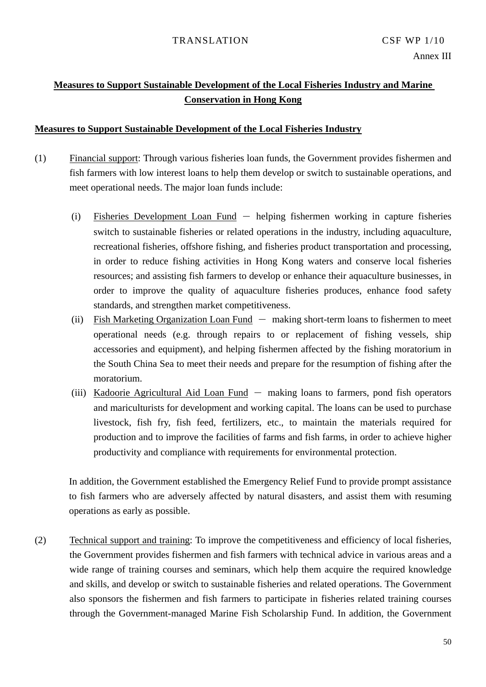# **Measures to Support Sustainable Development of the Local Fisheries Industry and Marine Conservation in Hong Kong**

#### **Measures to Support Sustainable Development of the Local Fisheries Industry**

- (1) Financial support: Through various fisheries loan funds, the Government provides fishermen and fish farmers with low interest loans to help them develop or switch to sustainable operations, and meet operational needs. The major loan funds include:
	- $(i)$  Fisheries Development Loan Fund  $-$  helping fishermen working in capture fisheries switch to sustainable fisheries or related operations in the industry, including aquaculture, recreational fisheries, offshore fishing, and fisheries product transportation and processing, in order to reduce fishing activities in Hong Kong waters and conserve local fisheries resources; and assisting fish farmers to develop or enhance their aquaculture businesses, in order to improve the quality of aquaculture fisheries produces, enhance food safety standards, and strengthen market competitiveness.
	- (ii) Fish Marketing Organization Loan Fund  $-$  making short-term loans to fishermen to meet operational needs (e.g. through repairs to or replacement of fishing vessels, ship accessories and equipment), and helping fishermen affected by the fishing moratorium in the South China Sea to meet their needs and prepare for the resumption of fishing after the moratorium.
	- (iii) Kadoorie Agricultural Aid Loan Fund  $-$  making loans to farmers, pond fish operators and mariculturists for development and working capital. The loans can be used to purchase livestock, fish fry, fish feed, fertilizers, etc., to maintain the materials required for production and to improve the facilities of farms and fish farms, in order to achieve higher productivity and compliance with requirements for environmental protection.

In addition, the Government established the Emergency Relief Fund to provide prompt assistance to fish farmers who are adversely affected by natural disasters, and assist them with resuming operations as early as possible.

(2) Technical support and training: To improve the competitiveness and efficiency of local fisheries, the Government provides fishermen and fish farmers with technical advice in various areas and a wide range of training courses and seminars, which help them acquire the required knowledge and skills, and develop or switch to sustainable fisheries and related operations. The Government also sponsors the fishermen and fish farmers to participate in fisheries related training courses through the Government-managed Marine Fish Scholarship Fund. In addition, the Government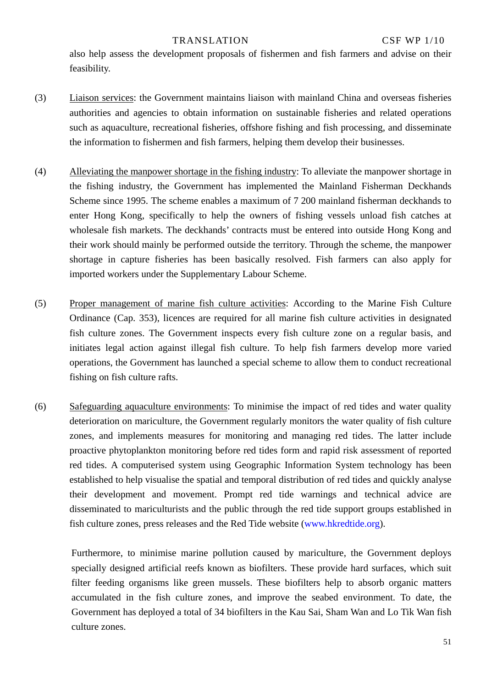also help assess the development proposals of fishermen and fish farmers and advise on their feasibility.

- (3) Liaison services: the Government maintains liaison with mainland China and overseas fisheries authorities and agencies to obtain information on sustainable fisheries and related operations such as aquaculture, recreational fisheries, offshore fishing and fish processing, and disseminate the information to fishermen and fish farmers, helping them develop their businesses.
- (4) Alleviating the manpower shortage in the fishing industry: To alleviate the manpower shortage in the fishing industry, the Government has implemented the Mainland Fisherman Deckhands Scheme since 1995. The scheme enables a maximum of 7 200 mainland fisherman deckhands to enter Hong Kong, specifically to help the owners of fishing vessels unload fish catches at wholesale fish markets. The deckhands' contracts must be entered into outside Hong Kong and their work should mainly be performed outside the territory. Through the scheme, the manpower shortage in capture fisheries has been basically resolved. Fish farmers can also apply for imported workers under the Supplementary Labour Scheme.
- (5) Proper management of marine fish culture activities: According to the Marine Fish Culture Ordinance (Cap. 353), licences are required for all marine fish culture activities in designated fish culture zones. The Government inspects every fish culture zone on a regular basis, and initiates legal action against illegal fish culture. To help fish farmers develop more varied operations, the Government has launched a special scheme to allow them to conduct recreational fishing on fish culture rafts.
- (6) Safeguarding aquaculture environments: To minimise the impact of red tides and water quality deterioration on mariculture, the Government regularly monitors the water quality of fish culture zones, and implements measures for monitoring and managing red tides. The latter include proactive phytoplankton monitoring before red tides form and rapid risk assessment of reported red tides. A computerised system using Geographic Information System technology has been established to help visualise the spatial and temporal distribution of red tides and quickly analyse their development and movement. Prompt red tide warnings and technical advice are disseminated to mariculturists and the public through the red tide support groups established in fish culture zones, press releases and the Red Tide website ([www.hkredtide.org\)](http://www.hkredtide.org/).

Furthermore, to minimise marine pollution caused by mariculture, the Government deploys specially designed artificial reefs known as biofilters. These provide hard surfaces, which suit filter feeding organisms like green mussels. These biofilters help to absorb organic matters accumulated in the fish culture zones, and improve the seabed environment. To date, the Government has deployed a total of 34 biofilters in the Kau Sai, Sham Wan and Lo Tik Wan fish culture zones.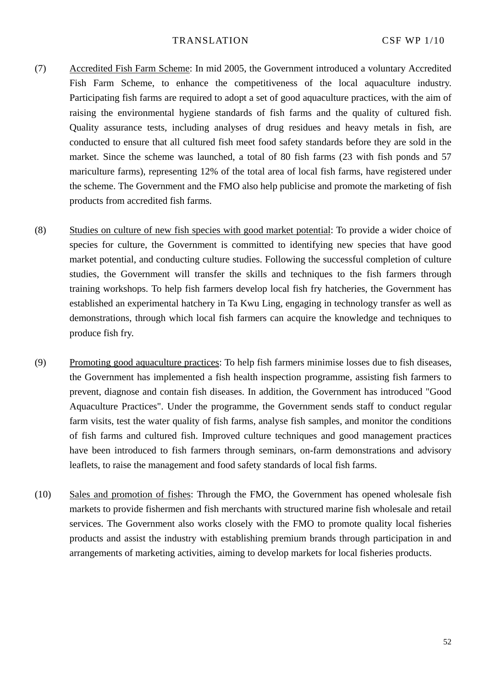- (7) Accredited Fish Farm Scheme: In mid 2005, the Government introduced a voluntary Accredited Fish Farm Scheme, to enhance the competitiveness of the local aquaculture industry. Participating fish farms are required to adopt a set of good aquaculture practices, with the aim of raising the environmental hygiene standards of fish farms and the quality of cultured fish. Quality assurance tests, including analyses of drug residues and heavy metals in fish, are conducted to ensure that all cultured fish meet food safety standards before they are sold in the market. Since the scheme was launched, a total of 80 fish farms (23 with fish ponds and 57 mariculture farms), representing 12% of the total area of local fish farms, have registered under the scheme. The Government and the FMO also help publicise and promote the marketing of fish products from accredited fish farms.
- (8) Studies on culture of new fish species with good market potential: To provide a wider choice of species for culture, the Government is committed to identifying new species that have good market potential, and conducting culture studies. Following the successful completion of culture studies, the Government will transfer the skills and techniques to the fish farmers through training workshops. To help fish farmers develop local fish fry hatcheries, the Government has established an experimental hatchery in Ta Kwu Ling, engaging in technology transfer as well as demonstrations, through which local fish farmers can acquire the knowledge and techniques to produce fish fry.
- (9) Promoting good aquaculture practices: To help fish farmers minimise losses due to fish diseases, the Government has implemented a fish health inspection programme, assisting fish farmers to prevent, diagnose and contain fish diseases. In addition, the Government has introduced "Good Aquaculture Practices". Under the programme, the Government sends staff to conduct regular farm visits, test the water quality of fish farms, analyse fish samples, and monitor the conditions of fish farms and cultured fish. Improved culture techniques and good management practices have been introduced to fish farmers through seminars, on-farm demonstrations and advisory leaflets, to raise the management and food safety standards of local fish farms.
- (10) Sales and promotion of fishes: Through the FMO, the Government has opened wholesale fish markets to provide fishermen and fish merchants with structured marine fish wholesale and retail services. The Government also works closely with the FMO to promote quality local fisheries products and assist the industry with establishing premium brands through participation in and arrangements of marketing activities, aiming to develop markets for local fisheries products.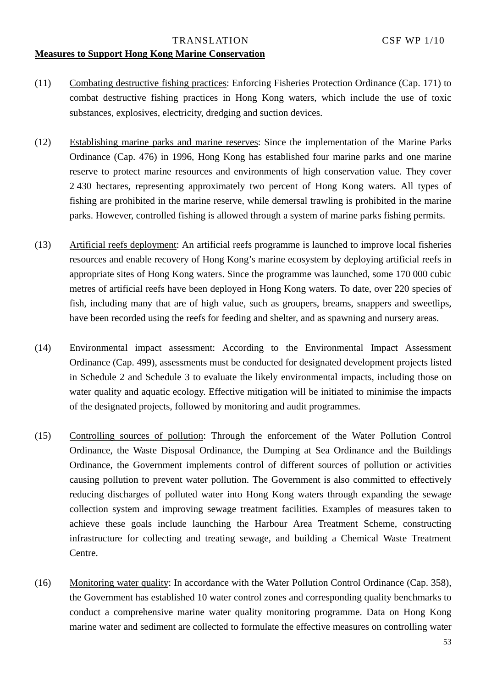# **Measures to Support Hong Kong Marine Conservation**

- (11) Combating destructive fishing practices: Enforcing Fisheries Protection Ordinance (Cap. 171) to combat destructive fishing practices in Hong Kong waters, which include the use of toxic substances, explosives, electricity, dredging and suction devices.
- (12) Establishing marine parks and marine reserves: Since the implementation of the Marine Parks Ordinance (Cap. 476) in 1996, Hong Kong has established four marine parks and one marine reserve to protect marine resources and environments of high conservation value. They cover 2 430 hectares, representing approximately two percent of Hong Kong waters. All types of fishing are prohibited in the marine reserve, while demersal trawling is prohibited in the marine parks. However, controlled fishing is allowed through a system of marine parks fishing permits.
- (13) Artificial reefs deployment: An artificial reefs programme is launched to improve local fisheries resources and enable recovery of Hong Kong's marine ecosystem by deploying artificial reefs in appropriate sites of Hong Kong waters. Since the programme was launched, some 170 000 cubic metres of artificial reefs have been deployed in Hong Kong waters. To date, over 220 species of fish, including many that are of high value, such as groupers, breams, snappers and sweetlips, have been recorded using the reefs for feeding and shelter, and as spawning and nursery areas.
- (14) Environmental impact assessment: According to the Environmental Impact Assessment Ordinance (Cap. 499), assessments must be conducted for designated development projects listed in Schedule 2 and Schedule 3 to evaluate the likely environmental impacts, including those on water quality and aquatic ecology. Effective mitigation will be initiated to minimise the impacts of the designated projects, followed by monitoring and audit programmes.
- (15) Controlling sources of pollution: Through the enforcement of the Water Pollution Control Ordinance, the Waste Disposal Ordinance, the Dumping at Sea Ordinance and the Buildings Ordinance, the Government implements control of different sources of pollution or activities causing pollution to prevent water pollution. The Government is also committed to effectively reducing discharges of polluted water into Hong Kong waters through expanding the sewage collection system and improving sewage treatment facilities. Examples of measures taken to achieve these goals include launching the Harbour Area Treatment Scheme, constructing infrastructure for collecting and treating sewage, and building a Chemical Waste Treatment Centre.
- (16) Monitoring water quality: In accordance with the Water Pollution Control Ordinance (Cap. 358), the Government has established 10 water control zones and corresponding quality benchmarks to conduct a comprehensive marine water quality monitoring programme. Data on Hong Kong marine water and sediment are collected to formulate the effective measures on controlling water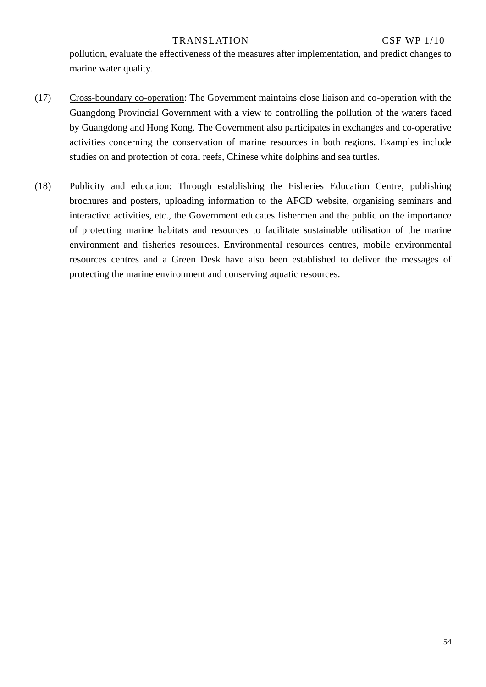pollution, evaluate the effectiveness of the measures after implementation, and predict changes to marine water quality.

- (17) Cross-boundary co-operation: The Government maintains close liaison and co-operation with the Guangdong Provincial Government with a view to controlling the pollution of the waters faced by Guangdong and Hong Kong. The Government also participates in exchanges and co-operative activities concerning the conservation of marine resources in both regions. Examples include studies on and protection of coral reefs, Chinese white dolphins and sea turtles.
- (18) Publicity and education: Through establishing the Fisheries Education Centre, publishing brochures and posters, uploading information to the AFCD website, organising seminars and interactive activities, etc., the Government educates fishermen and the public on the importance of protecting marine habitats and resources to facilitate sustainable utilisation of the marine environment and fisheries resources. Environmental resources centres, mobile environmental resources centres and a Green Desk have also been established to deliver the messages of protecting the marine environment and conserving aquatic resources.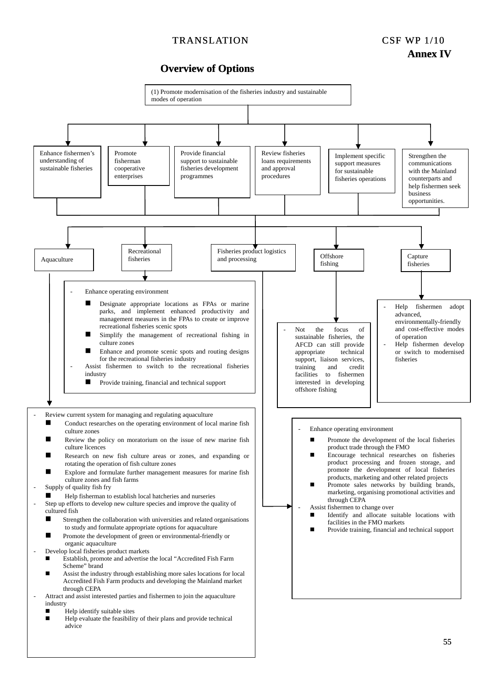#### **TRANSLATION**

### **Overview of Options**

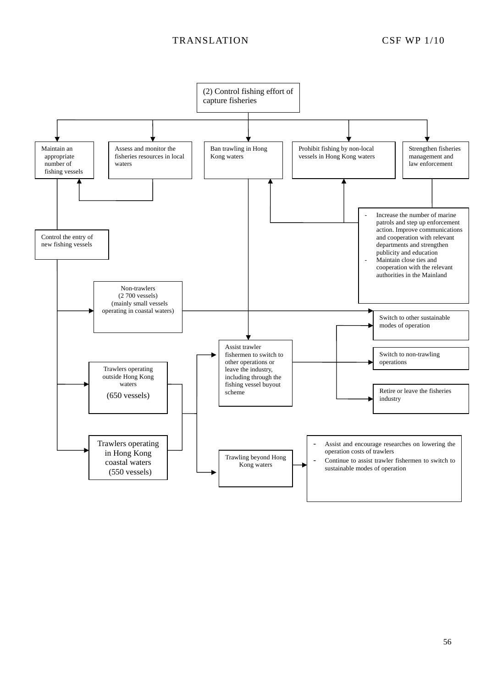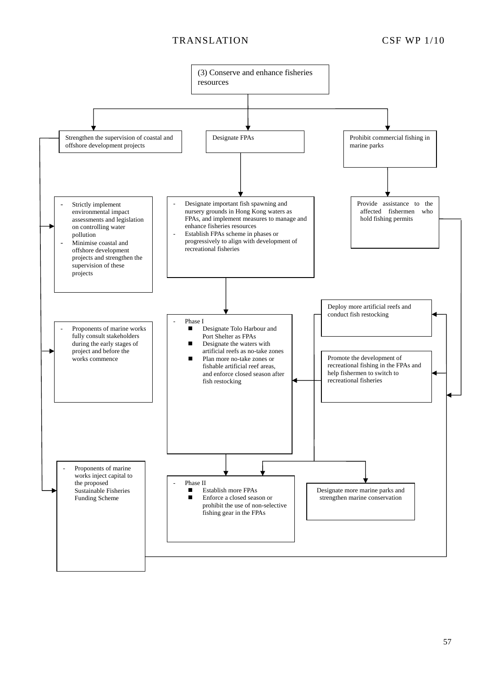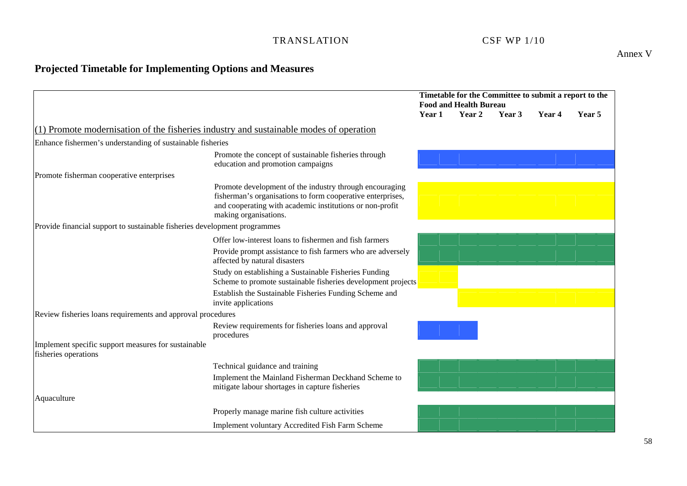# CSF WP  $1/10$

# **Projected Timetable for Implementing Options and Measures**

|                                                                                          |                                                                                                                                                                                                            | Timetable for the Committee to submit a report to the<br><b>Food and Health Bureau</b> |        |        |        |        |
|------------------------------------------------------------------------------------------|------------------------------------------------------------------------------------------------------------------------------------------------------------------------------------------------------------|----------------------------------------------------------------------------------------|--------|--------|--------|--------|
|                                                                                          |                                                                                                                                                                                                            | Year 1                                                                                 | Year 2 | Year 3 | Year 4 | Year 5 |
| $(1)$ Promote modernisation of the fisheries industry and sustainable modes of operation |                                                                                                                                                                                                            |                                                                                        |        |        |        |        |
| Enhance fishermen's understanding of sustainable fisheries                               |                                                                                                                                                                                                            |                                                                                        |        |        |        |        |
|                                                                                          | Promote the concept of sustainable fisheries through<br>education and promotion campaigns                                                                                                                  |                                                                                        |        |        |        |        |
| Promote fisherman cooperative enterprises                                                |                                                                                                                                                                                                            |                                                                                        |        |        |        |        |
|                                                                                          | Promote development of the industry through encouraging<br>fisherman's organisations to form cooperative enterprises,<br>and cooperating with academic institutions or non-profit<br>making organisations. |                                                                                        |        |        |        |        |
| Provide financial support to sustainable fisheries development programmes                |                                                                                                                                                                                                            |                                                                                        |        |        |        |        |
|                                                                                          | Offer low-interest loans to fishermen and fish farmers                                                                                                                                                     |                                                                                        |        |        |        |        |
|                                                                                          | Provide prompt assistance to fish farmers who are adversely<br>affected by natural disasters                                                                                                               |                                                                                        |        |        |        |        |
|                                                                                          | Study on establishing a Sustainable Fisheries Funding<br>Scheme to promote sustainable fisheries development projects                                                                                      |                                                                                        |        |        |        |        |
|                                                                                          | Establish the Sustainable Fisheries Funding Scheme and<br>invite applications                                                                                                                              |                                                                                        |        |        |        |        |
| Review fisheries loans requirements and approval procedures                              |                                                                                                                                                                                                            |                                                                                        |        |        |        |        |
|                                                                                          | Review requirements for fisheries loans and approval<br>procedures                                                                                                                                         |                                                                                        |        |        |        |        |
| Implement specific support measures for sustainable<br>fisheries operations              |                                                                                                                                                                                                            |                                                                                        |        |        |        |        |
|                                                                                          | Technical guidance and training                                                                                                                                                                            |                                                                                        |        |        |        |        |
|                                                                                          | Implement the Mainland Fisherman Deckhand Scheme to<br>mitigate labour shortages in capture fisheries                                                                                                      |                                                                                        |        |        |        |        |
| Aquaculture                                                                              |                                                                                                                                                                                                            |                                                                                        |        |        |        |        |
|                                                                                          | Properly manage marine fish culture activities                                                                                                                                                             |                                                                                        |        |        |        |        |
|                                                                                          | Implement voluntary Accredited Fish Farm Scheme                                                                                                                                                            |                                                                                        |        |        |        |        |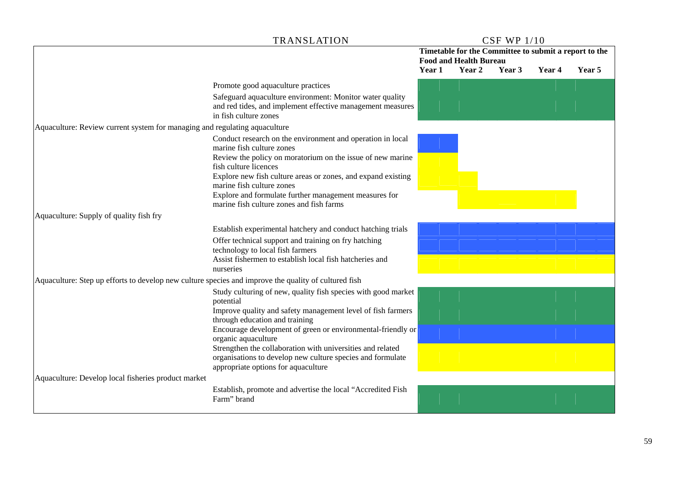|                                                                                                      | <b>TRANSLATION</b>                                                                                                                                                                                                                                                                                                                                                                                                                                                                                      | <b>CSF WP 1/10</b> |                                                                                        |        |        |        |
|------------------------------------------------------------------------------------------------------|---------------------------------------------------------------------------------------------------------------------------------------------------------------------------------------------------------------------------------------------------------------------------------------------------------------------------------------------------------------------------------------------------------------------------------------------------------------------------------------------------------|--------------------|----------------------------------------------------------------------------------------|--------|--------|--------|
|                                                                                                      |                                                                                                                                                                                                                                                                                                                                                                                                                                                                                                         |                    | Timetable for the Committee to submit a report to the<br><b>Food and Health Bureau</b> |        |        |        |
|                                                                                                      |                                                                                                                                                                                                                                                                                                                                                                                                                                                                                                         | Year 1             | Year 2                                                                                 | Year 3 | Year 4 | Year 5 |
|                                                                                                      | Promote good aquaculture practices                                                                                                                                                                                                                                                                                                                                                                                                                                                                      |                    |                                                                                        |        |        |        |
|                                                                                                      | Safeguard aquaculture environment: Monitor water quality<br>and red tides, and implement effective management measures<br>in fish culture zones                                                                                                                                                                                                                                                                                                                                                         |                    |                                                                                        |        |        |        |
| Aquaculture: Review current system for managing and regulating aquaculture                           |                                                                                                                                                                                                                                                                                                                                                                                                                                                                                                         |                    |                                                                                        |        |        |        |
| Aquaculture: Supply of quality fish fry                                                              | Conduct research on the environment and operation in local<br>marine fish culture zones<br>Review the policy on moratorium on the issue of new marine<br>fish culture licences<br>Explore new fish culture areas or zones, and expand existing<br>marine fish culture zones<br>Explore and formulate further management measures for<br>marine fish culture zones and fish farms<br>Establish experimental hatchery and conduct hatching trials<br>Offer technical support and training on fry hatching |                    |                                                                                        |        |        |        |
|                                                                                                      | technology to local fish farmers<br>Assist fishermen to establish local fish hatcheries and<br>nurseries                                                                                                                                                                                                                                                                                                                                                                                                |                    |                                                                                        |        |        |        |
| Aquaculture: Step up efforts to develop new culture species and improve the quality of cultured fish |                                                                                                                                                                                                                                                                                                                                                                                                                                                                                                         |                    |                                                                                        |        |        |        |
|                                                                                                      | Study culturing of new, quality fish species with good market<br>potential<br>Improve quality and safety management level of fish farmers<br>through education and training<br>Encourage development of green or environmental-friendly or<br>organic aquaculture<br>Strengthen the collaboration with universities and related<br>organisations to develop new culture species and formulate<br>appropriate options for aquaculture                                                                    |                    |                                                                                        |        |        |        |
| Aquaculture: Develop local fisheries product market                                                  |                                                                                                                                                                                                                                                                                                                                                                                                                                                                                                         |                    |                                                                                        |        |        |        |
|                                                                                                      | Establish, promote and advertise the local "Accredited Fish<br>Farm" brand                                                                                                                                                                                                                                                                                                                                                                                                                              |                    |                                                                                        |        |        |        |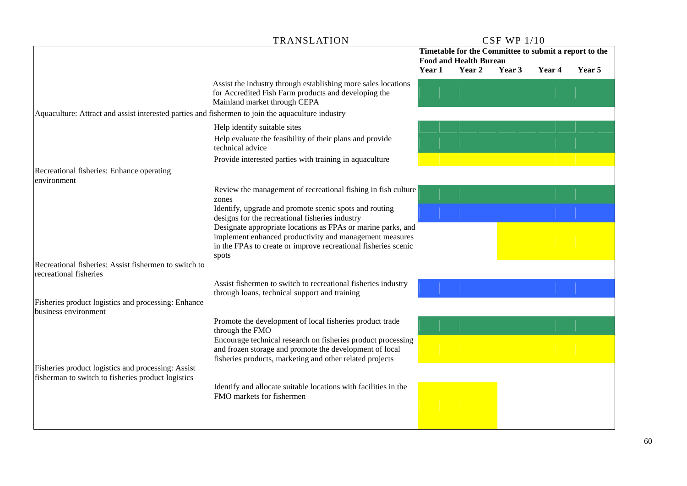|                                                                                                                                                                | <b>TRANSLATION</b>                                                                                                                                                                                                                                                                                                                                                                                                                                                                                          | <b>CSF WP 1/10</b>                                                                                                             |  |  |        |  |  |
|----------------------------------------------------------------------------------------------------------------------------------------------------------------|-------------------------------------------------------------------------------------------------------------------------------------------------------------------------------------------------------------------------------------------------------------------------------------------------------------------------------------------------------------------------------------------------------------------------------------------------------------------------------------------------------------|--------------------------------------------------------------------------------------------------------------------------------|--|--|--------|--|--|
|                                                                                                                                                                |                                                                                                                                                                                                                                                                                                                                                                                                                                                                                                             | Timetable for the Committee to submit a report to the<br><b>Food and Health Bureau</b><br>Year 1<br>Year 2<br>Year 3<br>Year 4 |  |  | Year 5 |  |  |
|                                                                                                                                                                | Assist the industry through establishing more sales locations<br>for Accredited Fish Farm products and developing the<br>Mainland market through CEPA                                                                                                                                                                                                                                                                                                                                                       |                                                                                                                                |  |  |        |  |  |
| Aquaculture: Attract and assist interested parties and fishermen to join the aquaculture industry                                                              |                                                                                                                                                                                                                                                                                                                                                                                                                                                                                                             |                                                                                                                                |  |  |        |  |  |
|                                                                                                                                                                | Help identify suitable sites                                                                                                                                                                                                                                                                                                                                                                                                                                                                                |                                                                                                                                |  |  |        |  |  |
|                                                                                                                                                                | Help evaluate the feasibility of their plans and provide<br>technical advice                                                                                                                                                                                                                                                                                                                                                                                                                                |                                                                                                                                |  |  |        |  |  |
|                                                                                                                                                                | Provide interested parties with training in aquaculture                                                                                                                                                                                                                                                                                                                                                                                                                                                     |                                                                                                                                |  |  |        |  |  |
| Recreational fisheries: Enhance operating<br>environment                                                                                                       |                                                                                                                                                                                                                                                                                                                                                                                                                                                                                                             |                                                                                                                                |  |  |        |  |  |
| Recreational fisheries: Assist fishermen to switch to<br>recreational fisheries<br>Fisheries product logistics and processing: Enhance<br>business environment | Review the management of recreational fishing in fish culture<br>zones<br>Identify, upgrade and promote scenic spots and routing<br>designs for the recreational fisheries industry<br>Designate appropriate locations as FPAs or marine parks, and<br>implement enhanced productivity and management measures<br>in the FPAs to create or improve recreational fisheries scenic<br>spots<br>Assist fishermen to switch to recreational fisheries industry<br>through loans, technical support and training |                                                                                                                                |  |  |        |  |  |
| Fisheries product logistics and processing: Assist<br>fisherman to switch to fisheries product logistics                                                       | Promote the development of local fisheries product trade<br>through the FMO<br>Encourage technical research on fisheries product processing<br>and frozen storage and promote the development of local<br>fisheries products, marketing and other related projects<br>Identify and allocate suitable locations with facilities in the<br>FMO markets for fishermen                                                                                                                                          |                                                                                                                                |  |  |        |  |  |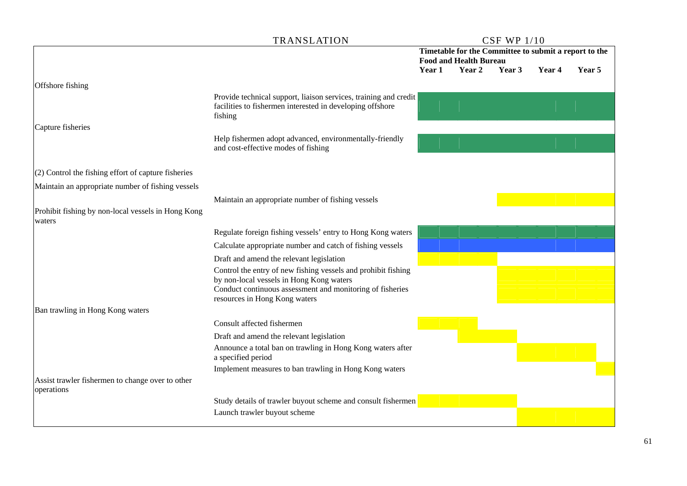|                                                                | <b>TRANSLATION</b>                                                                                                                                                                                      | <b>CSF WP 1/10</b>                                                                     |        |        |        |        |  |  |  |
|----------------------------------------------------------------|---------------------------------------------------------------------------------------------------------------------------------------------------------------------------------------------------------|----------------------------------------------------------------------------------------|--------|--------|--------|--------|--|--|--|
|                                                                |                                                                                                                                                                                                         | Timetable for the Committee to submit a report to the<br><b>Food and Health Bureau</b> |        |        |        |        |  |  |  |
|                                                                |                                                                                                                                                                                                         | Year 1                                                                                 | Year 2 | Year 3 | Year 4 | Year 5 |  |  |  |
| Offshore fishing                                               |                                                                                                                                                                                                         |                                                                                        |        |        |        |        |  |  |  |
|                                                                | Provide technical support, liaison services, training and credit<br>facilities to fishermen interested in developing offshore<br>fishing                                                                |                                                                                        |        |        |        |        |  |  |  |
| Capture fisheries                                              |                                                                                                                                                                                                         |                                                                                        |        |        |        |        |  |  |  |
|                                                                | Help fishermen adopt advanced, environmentally-friendly<br>and cost-effective modes of fishing                                                                                                          |                                                                                        |        |        |        |        |  |  |  |
| $(2)$ Control the fishing effort of capture fisheries          |                                                                                                                                                                                                         |                                                                                        |        |        |        |        |  |  |  |
| Maintain an appropriate number of fishing vessels              |                                                                                                                                                                                                         |                                                                                        |        |        |        |        |  |  |  |
|                                                                | Maintain an appropriate number of fishing vessels                                                                                                                                                       |                                                                                        |        |        |        |        |  |  |  |
| Prohibit fishing by non-local vessels in Hong Kong<br>waters   |                                                                                                                                                                                                         |                                                                                        |        |        |        |        |  |  |  |
|                                                                | Regulate foreign fishing vessels' entry to Hong Kong waters                                                                                                                                             |                                                                                        |        |        |        |        |  |  |  |
|                                                                | Calculate appropriate number and catch of fishing vessels                                                                                                                                               |                                                                                        |        |        |        |        |  |  |  |
|                                                                | Draft and amend the relevant legislation                                                                                                                                                                |                                                                                        |        |        |        |        |  |  |  |
|                                                                | Control the entry of new fishing vessels and prohibit fishing<br>by non-local vessels in Hong Kong waters<br>Conduct continuous assessment and monitoring of fisheries<br>resources in Hong Kong waters |                                                                                        |        |        |        |        |  |  |  |
| Ban trawling in Hong Kong waters                               |                                                                                                                                                                                                         |                                                                                        |        |        |        |        |  |  |  |
|                                                                | Consult affected fishermen                                                                                                                                                                              |                                                                                        |        |        |        |        |  |  |  |
|                                                                | Draft and amend the relevant legislation                                                                                                                                                                |                                                                                        |        |        |        |        |  |  |  |
|                                                                | Announce a total ban on trawling in Hong Kong waters after<br>a specified period                                                                                                                        |                                                                                        |        |        |        |        |  |  |  |
|                                                                | Implement measures to ban trawling in Hong Kong waters                                                                                                                                                  |                                                                                        |        |        |        |        |  |  |  |
| Assist trawler fishermen to change over to other<br>operations |                                                                                                                                                                                                         |                                                                                        |        |        |        |        |  |  |  |
|                                                                | Study details of trawler buyout scheme and consult fishermen                                                                                                                                            |                                                                                        |        |        |        |        |  |  |  |
|                                                                | Launch trawler buyout scheme                                                                                                                                                                            |                                                                                        |        |        |        |        |  |  |  |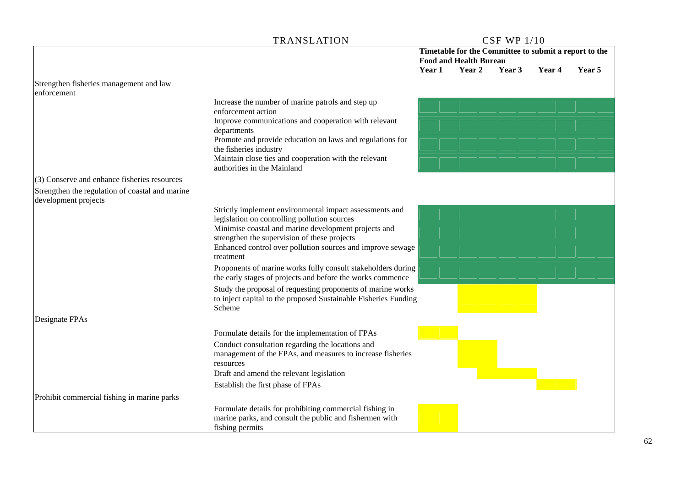|                                                 |                                                                                                      | $\sim$ $\sim$ $\sim$ $\sim$ $\sim$ $\sim$ $\sim$<br>Timetable for the Committee to submit a report to the<br><b>Food and Health Bureau</b> |        |        |        |        |
|-------------------------------------------------|------------------------------------------------------------------------------------------------------|--------------------------------------------------------------------------------------------------------------------------------------------|--------|--------|--------|--------|
|                                                 |                                                                                                      | Year 1                                                                                                                                     | Year 2 | Year 3 | Year 4 | Year 5 |
| Strengthen fisheries management and law         |                                                                                                      |                                                                                                                                            |        |        |        |        |
| enforcement                                     |                                                                                                      |                                                                                                                                            |        |        |        |        |
|                                                 | Increase the number of marine patrols and step up                                                    |                                                                                                                                            |        |        |        |        |
|                                                 | enforcement action                                                                                   |                                                                                                                                            |        |        |        |        |
|                                                 | Improve communications and cooperation with relevant<br>departments                                  |                                                                                                                                            |        |        |        |        |
|                                                 | Promote and provide education on laws and regulations for                                            |                                                                                                                                            |        |        |        |        |
|                                                 | the fisheries industry                                                                               |                                                                                                                                            |        |        |        |        |
|                                                 | Maintain close ties and cooperation with the relevant                                                |                                                                                                                                            |        |        |        |        |
|                                                 | authorities in the Mainland                                                                          |                                                                                                                                            |        |        |        |        |
| $(3)$ Conserve and enhance fisheries resources  |                                                                                                      |                                                                                                                                            |        |        |        |        |
| Strengthen the regulation of coastal and marine |                                                                                                      |                                                                                                                                            |        |        |        |        |
| development projects                            |                                                                                                      |                                                                                                                                            |        |        |        |        |
|                                                 | Strictly implement environmental impact assessments and                                              |                                                                                                                                            |        |        |        |        |
|                                                 | legislation on controlling pollution sources<br>Minimise coastal and marine development projects and |                                                                                                                                            |        |        |        |        |
|                                                 | strengthen the supervision of these projects                                                         |                                                                                                                                            |        |        |        |        |
|                                                 | Enhanced control over pollution sources and improve sewage                                           |                                                                                                                                            |        |        |        |        |
|                                                 | treatment                                                                                            |                                                                                                                                            |        |        |        |        |
|                                                 | Proponents of marine works fully consult stakeholders during                                         |                                                                                                                                            |        |        |        |        |
|                                                 | the early stages of projects and before the works commence                                           |                                                                                                                                            |        |        |        |        |
|                                                 | Study the proposal of requesting proponents of marine works                                          |                                                                                                                                            |        |        |        |        |
|                                                 | to inject capital to the proposed Sustainable Fisheries Funding                                      |                                                                                                                                            |        |        |        |        |
|                                                 | Scheme                                                                                               |                                                                                                                                            |        |        |        |        |
| Designate FPAs                                  |                                                                                                      |                                                                                                                                            |        |        |        |        |
|                                                 | Formulate details for the implementation of FPAs                                                     |                                                                                                                                            |        |        |        |        |
|                                                 | Conduct consultation regarding the locations and                                                     |                                                                                                                                            |        |        |        |        |
|                                                 | management of the FPAs, and measures to increase fisheries                                           |                                                                                                                                            |        |        |        |        |
|                                                 | resources                                                                                            |                                                                                                                                            |        |        |        |        |
|                                                 | Draft and amend the relevant legislation                                                             |                                                                                                                                            |        |        |        |        |
|                                                 | Establish the first phase of FPAs                                                                    |                                                                                                                                            |        |        |        |        |
| Prohibit commercial fishing in marine parks     |                                                                                                      |                                                                                                                                            |        |        |        |        |
|                                                 | Formulate details for prohibiting commercial fishing in                                              |                                                                                                                                            |        |        |        |        |
|                                                 | marine parks, and consult the public and fishermen with                                              |                                                                                                                                            |        |        |        |        |
|                                                 | fishing permits                                                                                      |                                                                                                                                            |        |        |        |        |